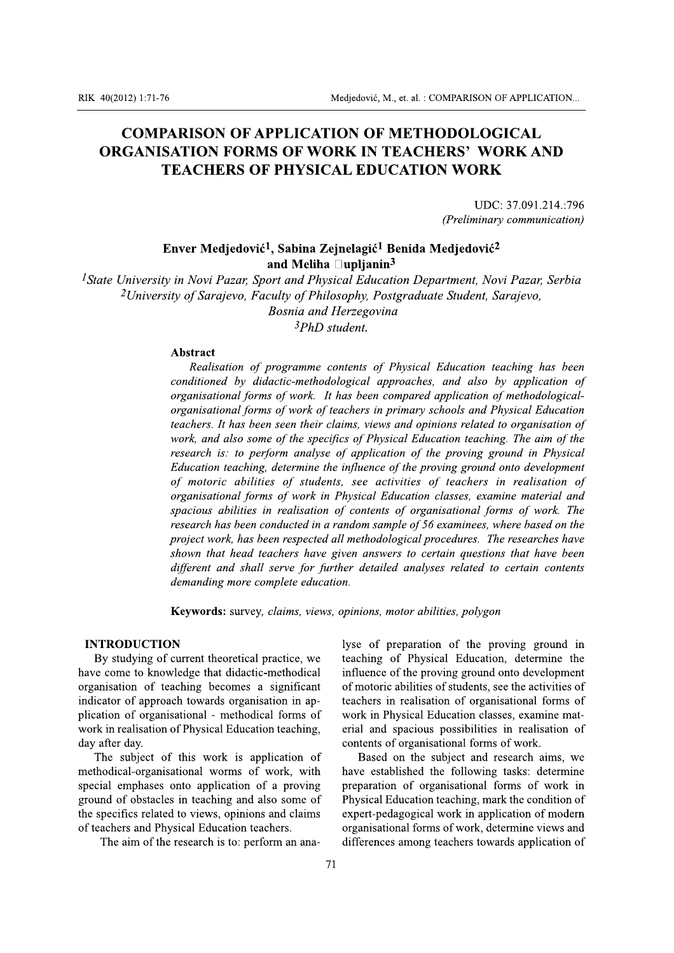# **COMPARISON OF APPLICATION OF METHODOLOGICAL ORGANISATION FORMS OF WORK IN TEACHERS' WORK AND TEACHERS OF PHYSICAL EDUCATION WORK**

UDC: 37.091.214.:796 (Preliminary communication)

## Enver Medjedović<sup>1</sup>, Sabina Zejnelagić<sup>1</sup> Benida Medjedović<sup>2</sup> and Meliha  $\Box$ upljanin<sup>3</sup>

<sup>1</sup>State University in Novi Pazar, Sport and Physical Education Department, Novi Pazar, Serbia <sup>2</sup>University of Sarajevo, Faculty of Philosophy, Postgraduate Student, Sarajevo, **Bosnia and Herzegovina** <sup>3</sup>PhD student.

### **Abstract**

Realisation of programme contents of Physical Education teaching has been conditioned by didactic-methodological approaches, and also by application of organisational forms of work. It has been compared application of methodologicalorganisational forms of work of teachers in primary schools and Physical Education teachers. It has been seen their claims, views and opinions related to organisation of work, and also some of the specifics of Physical Education teaching. The aim of the research is: to perform analyse of application of the proving ground in Physical Education teaching, determine the influence of the proving ground onto development of motoric abilities of students, see activities of teachers in realisation of organisational forms of work in Physical Education classes, examine material and spacious abilities in realisation of contents of organisational forms of work. The research has been conducted in a random sample of 56 examinees, where based on the project work, has been respected all methodological procedures. The researches have shown that head teachers have given answers to certain questions that have been different and shall serve for further detailed analyses related to certain contents demanding more complete education.

Keywords: survey, claims, views, opinions, motor abilities, polygon

## **INTRODUCTION**

By studying of current theoretical practice, we have come to knowledge that didactic-methodical organisation of teaching becomes a significant indicator of approach towards organisation in application of organisational - methodical forms of work in realisation of Physical Education teaching, day after day.

The subject of this work is application of methodical-organisational worms of work, with special emphases onto application of a proving ground of obstacles in teaching and also some of the specifics related to views, opinions and claims of teachers and Physical Education teachers.

The aim of the research is to: perform an ana-

lyse of preparation of the proving ground in teaching of Physical Education, determine the influence of the proving ground onto development of motoric abilities of students, see the activities of teachers in realisation of organisational forms of work in Physical Education classes, examine material and spacious possibilities in realisation of contents of organisational forms of work.

Based on the subject and research aims, we have established the following tasks: determine preparation of organisational forms of work in Physical Education teaching, mark the condition of expert-pedagogical work in application of modern organisational forms of work, determine views and differences among teachers towards application of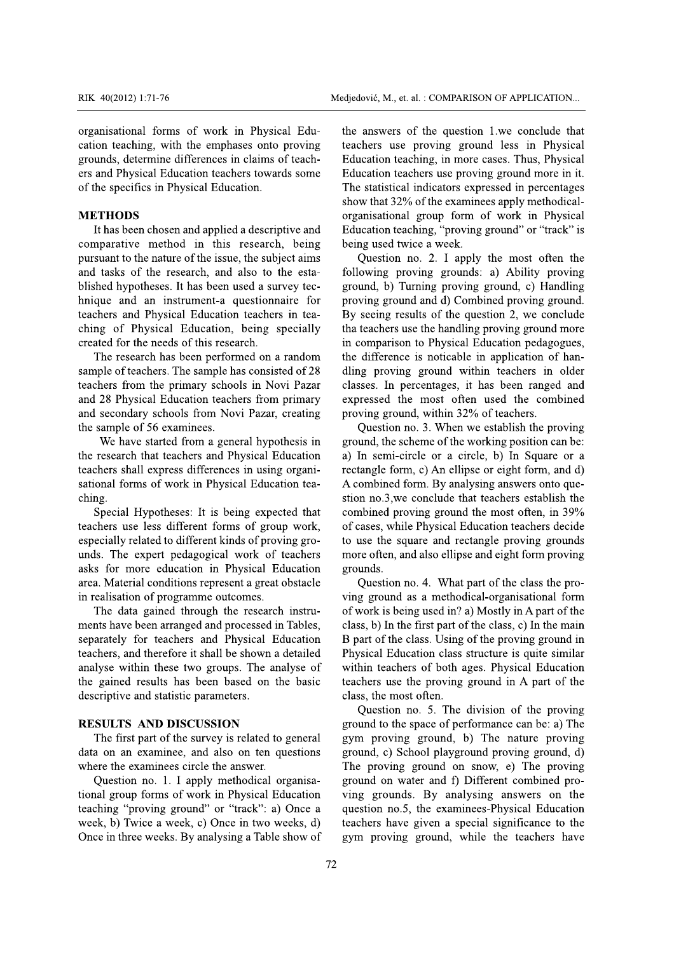organisational forms of work in Physical Education teaching, with the emphases onto proving grounds, determine differences in claims of teachers and Physical Education teachers towards some of the specifics in Physical Education.

## **METHODS**

It has been chosen and applied a descriptive and comparative method in this research, being pursuant to the nature of the issue, the subject aims and tasks of the research, and also to the established hypotheses. It has been used a survey technique and an instrument-a questionnaire for teachers and Physical Education teachers in teaching of Physical Education, being specially created for the needs of this research.

The research has been performed on a random sample of teachers. The sample has consisted of 28 teachers from the primary schools in Novi Pazar and 28 Physical Education teachers from primary and secondary schools from Novi Pazar, creating the sample of 56 examinees.

We have started from a general hypothesis in the research that teachers and Physical Education teachers shall express differences in using organisational forms of work in Physical Education teaching.

Special Hypotheses: It is being expected that teachers use less different forms of group work, especially related to different kinds of proving grounds. The expert pedagogical work of teachers asks for more education in Physical Education area. Material conditions represent a great obstacle in realisation of programme outcomes.

The data gained through the research instruments have been arranged and processed in Tables, separately for teachers and Physical Education teachers, and therefore it shall be shown a detailed analyse within these two groups. The analyse of the gained results has been based on the basic descriptive and statistic parameters.

## **RESULTS AND DISCUSSION**

The first part of the survey is related to general data on an examinee, and also on ten questions where the examinees circle the answer.

Question no. 1. I apply methodical organisational group forms of work in Physical Education teaching "proving ground" or "track": a) Once a week, b) Twice a week, c) Once in two weeks, d) Once in three weeks. By analysing a Table show of the answers of the question 1.we conclude that teachers use proving ground less in Physical Education teaching, in more cases. Thus, Physical Education teachers use proving ground more in it. The statistical indicators expressed in percentages show that 32% of the examinees apply methodicalorganisational group form of work in Physical Education teaching, "proving ground" or "track" is being used twice a week.

Question no. 2. I apply the most often the following proving grounds: a) Ability proving ground, b) Turning proving ground, c) Handling proving ground and d) Combined proving ground. By seeing results of the question 2, we conclude tha teachers use the handling proving ground more in comparison to Physical Education pedagogues. the difference is noticable in application of handling proving ground within teachers in older classes. In percentages, it has been ranged and expressed the most often used the combined proving ground, within 32% of teachers.

Question no. 3. When we establish the proving ground, the scheme of the working position can be: a) In semi-circle or a circle, b) In Square or a rectangle form, c) An ellipse or eight form, and d) A combined form. By analysing answers onto question no.3, we conclude that teachers establish the combined proving ground the most often, in 39% of cases, while Physical Education teachers decide to use the square and rectangle proving grounds more often, and also ellipse and eight form proving grounds.

Question no. 4. What part of the class the proving ground as a methodical-organisational form of work is being used in? a) Mostly in A part of the class, b) In the first part of the class, c) In the main B part of the class. Using of the proving ground in Physical Education class structure is quite similar within teachers of both ages. Physical Education teachers use the proving ground in A part of the class, the most often.

Question no. 5. The division of the proving ground to the space of performance can be: a) The gym proving ground, b) The nature proving ground, c) School playground proving ground, d) The proving ground on snow, e) The proving ground on water and f) Different combined proving grounds. By analysing answers on the question no.5, the examinees-Physical Education teachers have given a special significance to the gym proving ground, while the teachers have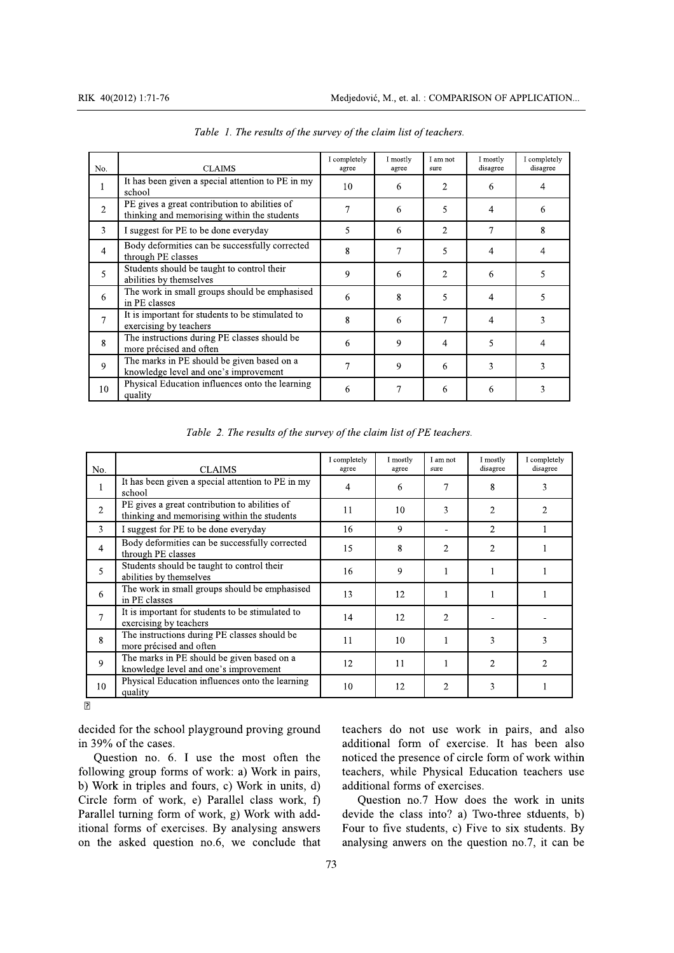| No.                      | <b>CLAIMS</b>                                                                                | I completely<br>agree | I mostly<br>agree | I am not<br>sure | I mostly<br>disagree | I completely<br>disagree |
|--------------------------|----------------------------------------------------------------------------------------------|-----------------------|-------------------|------------------|----------------------|--------------------------|
|                          | It has been given a special attention to PE in my<br>school                                  | 10                    | 6                 | 2                | 6                    | 4                        |
|                          | PE gives a great contribution to abilities of<br>thinking and memorising within the students |                       | 6                 | 5                | 4                    | 6                        |
| 3                        | I suggest for PE to be done everyday                                                         | 5                     | 6                 | $\overline{2}$   | 7                    | 8                        |
| 4                        | Body deformities can be successfully corrected<br>through PE classes                         | 8                     |                   | 5                | 4                    | 4                        |
| $\overline{\phantom{0}}$ | Students should be taught to control their<br>abilities by themselves                        | 9                     | 6                 | $\overline{2}$   | 6                    | 5                        |
| 6                        | The work in small groups should be emphasised<br>in PE classes                               | 6                     | 8                 | 5                | 4                    | 5                        |
| 7                        | It is important for students to be stimulated to<br>exercising by teachers                   | 8                     | 6                 | 7                | 4                    | 3                        |
| 8                        | The instructions during PE classes should be<br>more précised and often                      | 6                     | 9                 | 4                | 5                    | 4                        |
| 9                        | The marks in PE should be given based on a<br>knowledge level and one's improvement          | 7                     | 9                 | 6                | 3                    | ٩                        |
| 10                       | Physical Education influences onto the learning<br>quality                                   | 6                     |                   | 6                | 6                    | 3                        |

Table 1. The results of the survey of the claim list of teachers.

Table 2. The results of the survey of the claim list of PE teachers.

| No.            | <b>CLAIMS</b>                                                                                | I completely<br>agree | I mostly<br>agree | I am not<br>sure | I mostly<br>disagree | I completely<br>disagree |
|----------------|----------------------------------------------------------------------------------------------|-----------------------|-------------------|------------------|----------------------|--------------------------|
|                | It has been given a special attention to PE in my<br>school                                  | 4                     | 6                 | 7                | 8                    | 3                        |
| $\overline{2}$ | PE gives a great contribution to abilities of<br>thinking and memorising within the students | 11                    | 10                | 3                | $\overline{2}$       | 2                        |
| 3              | I suggest for PE to be done everyday                                                         | 16                    | 9                 |                  | $\overline{2}$       |                          |
| 4              | Body deformities can be successfully corrected<br>through PE classes                         | 15                    | 8                 | $\overline{2}$   | $\overline{2}$       |                          |
| 5              | Students should be taught to control their<br>abilities by themselves                        | 16                    | 9                 |                  | 1                    |                          |
| 6              | The work in small groups should be emphasised<br>in PE classes                               | 13                    | 12                |                  |                      |                          |
| 7              | It is important for students to be stimulated to<br>exercising by teachers                   | 14                    | 12                | $\overline{2}$   |                      |                          |
| 8              | The instructions during PE classes should be<br>more précised and often                      | 11                    | 10                |                  | 3                    | 3                        |
| 9              | The marks in PE should be given based on a<br>knowledge level and one's improvement          | 12                    | 11                |                  | $\overline{2}$       | 2                        |
| 10             | Physical Education influences onto the learning<br>quality                                   | 10                    | 12                | $\overline{2}$   | 3                    |                          |

 $\boxed{2}$ 

decided for the school playground proving ground in 39% of the cases.

Question no. 6. I use the most often the following group forms of work: a) Work in pairs, b) Work in triples and fours, c) Work in units, d) Circle form of work, e) Parallel class work, f) Parallel turning form of work, g) Work with additional forms of exercises. By analysing answers on the asked question no.6, we conclude that teachers do not use work in pairs, and also additional form of exercise. It has been also noticed the presence of circle form of work within teachers, while Physical Education teachers use additional forms of exercises.

Ouestion no.7 How does the work in units devide the class into? a) Two-three stduents, b) Four to five students, c) Five to six students. By analysing anwers on the question no.7, it can be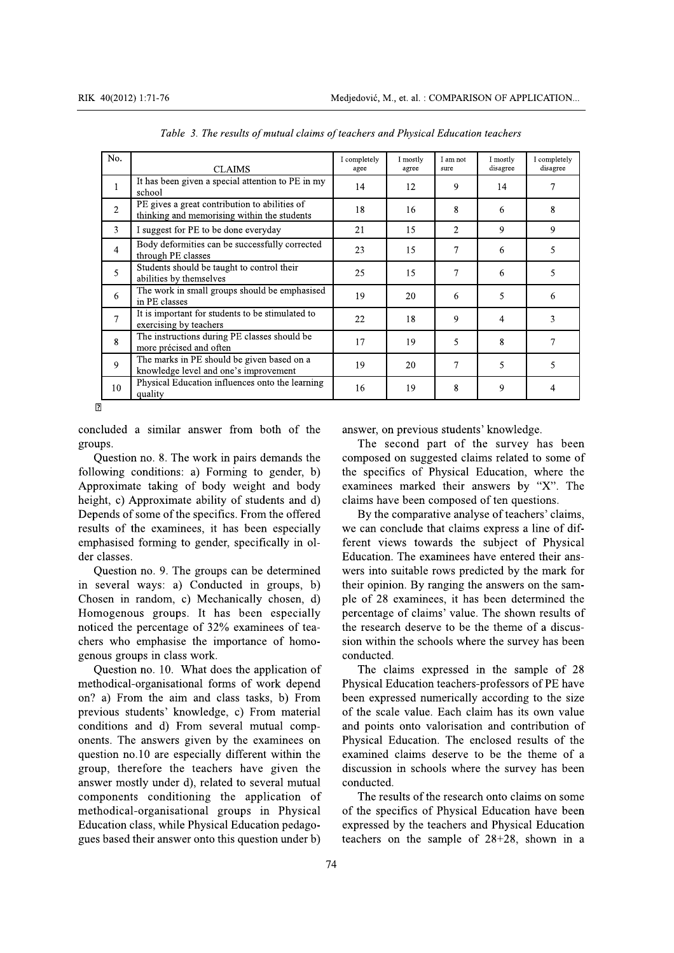| No.            |                                                                                              | I completely | I mostly | I am not       | I mostly       | I completely |
|----------------|----------------------------------------------------------------------------------------------|--------------|----------|----------------|----------------|--------------|
|                | <b>CLAIMS</b>                                                                                | agee         | agree    | sure           | disagree       | disagree     |
|                | It has been given a special attention to PE in my<br>school                                  | 14           | 12       | 9              | 14             | 7            |
| 2              | PE gives a great contribution to abilities of<br>thinking and memorising within the students | 18           | 16       | 8              | 6              | 8            |
| 3              | I suggest for PE to be done everyday                                                         | 21           | 15       | $\overline{2}$ | 9              | 9            |
| $\overline{4}$ | Body deformities can be successfully corrected<br>through PE classes                         | 23           | 15       | $\tau$         | 6              | 5            |
| 5              | Students should be taught to control their<br>abilities by themselves                        | 25           | 15       | 7              | 6              | 5            |
| 6              | The work in small groups should be emphasised<br>in PE classes                               | 19           | 20       | 6              | 5              | 6            |
| 7              | It is important for students to be stimulated to<br>exercising by teachers                   | 22           | 18       | 9              | $\overline{4}$ | 3            |
| 8              | The instructions during PE classes should be<br>more précised and often                      | 17           | 19       | 5              | 8              | 7            |
| 9              | The marks in PE should be given based on a<br>knowledge level and one's improvement          | 19           | 20       | $\tau$         | 5              | 5            |
| 10             | Physical Education influences onto the learning<br>quality                                   | 16           | 19       | 8              | 9              | 4            |

Table 3. The results of mutual claims of teachers and Physical Education teachers

 $\overline{p}$ 

concluded a similar answer from both of the groups.

Question no. 8. The work in pairs demands the following conditions: a) Forming to gender, b) Approximate taking of body weight and body height, c) Approximate ability of students and d) Depends of some of the specifics. From the offered results of the examinees, it has been especially emphasised forming to gender, specifically in older classes.

Question no. 9. The groups can be determined in several ways: a) Conducted in groups, b) Chosen in random, c) Mechanically chosen, d) Homogenous groups. It has been especially noticed the percentage of 32% examinees of teachers who emphasise the importance of homogenous groups in class work.

Question no. 10. What does the application of methodical-organisational forms of work depend on? a) From the aim and class tasks, b) From previous students' knowledge, c) From material conditions and d) From several mutual components. The answers given by the examinees on question no.10 are especially different within the group, therefore the teachers have given the answer mostly under d), related to several mutual components conditioning the application of methodical-organisational groups in Physical Education class, while Physical Education pedagogues based their answer onto this question under b)

answer, on previous students' knowledge.

The second part of the survey has been composed on suggested claims related to some of the specifics of Physical Education, where the examinees marked their answers by "X". The claims have been composed of ten questions.

By the comparative analyse of teachers' claims, we can conclude that claims express a line of different views towards the subject of Physical Education. The examinees have entered their answers into suitable rows predicted by the mark for their opinion. By ranging the answers on the sample of 28 examinees, it has been determined the percentage of claims' value. The shown results of the research deserve to be the theme of a discussion within the schools where the survey has been conducted.

The claims expressed in the sample of 28 Physical Education teachers-professors of PE have been expressed numerically according to the size of the scale value. Each claim has its own value and points onto valorisation and contribution of Physical Education. The enclosed results of the examined claims deserve to be the theme of a discussion in schools where the survey has been conducted.

The results of the research onto claims on some of the specifics of Physical Education have been expressed by the teachers and Physical Education teachers on the sample of  $28+28$ , shown in a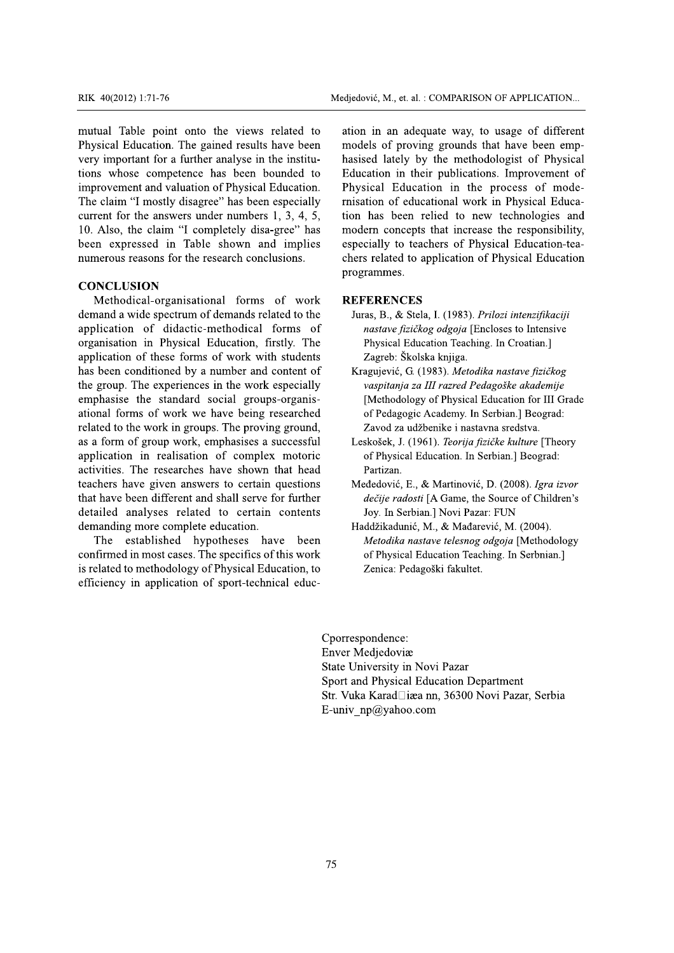RIK 40(2012) 1:71-76<br>
mutual Table point onto<br>
Physical Education. The ga<br>
very important for a further<br>
tions whose competence l<br>
improvement and valuation<br>
The claim "I mostly disagre<br>
current for the answers und<br>
10. Al RIK 40(2012) 1:71-76<br>
mutual Table point onto the views re<br>
Physical Education. The gained results h<br>
very important for a further analyse in th<br>
tions whose competence has been bou<br>
improvement and valuation of Physical E RIK 40(2012) 1:71-76<br>
mutual Table point onto the views relat<br>
Physical Education. The gained results have<br>
very important for a further analyse in the ir<br>
tions whose competence has been bound<br>
improvement and valuation o RIK 40(2012) 1:71-76<br>
mutual Table point onto the views related<br>
Physical Education. The gained results have b<br>
very important for a further analyse in the inst<br>
tions whose competence has been bounded<br>
improvement and val RIK 40(2012) 1:71-76<br>
mutual Table point onto the views related to<br>
Physical Education. The gained results have been<br>
very important for a further analyse in the institutions whose competence has been bounded to<br>
improvem RIK 40(2012) 1:71-76<br>
mutual Table point onto the views related to<br>
Physical Education. The gained results have been<br>
very important for a further analyse in the institu-<br>
ions whose competence has been bounded to<br>
improve -Medjedović, M., et.<br>
ual Table point onto the views related to<br>
ual Table point onto the views related to<br>
ation in an a<br>
sical Education. The gained results have been<br>
important for a further analyse in the institu-<br>
hasi Medjedović, M., et. al. : (<br>
It onto the views related to ation in an adequ<br>
The gained results have been models of proving<br>
a further analyse in the institu-<br>
hasised lately by<br>
etence has been bounded to Education in the Medjedović, M., et. al. : C<br>
to the views related to ation in an adequa<br>
equal results have been models of proving<br>
ther analyse in the institu-<br>
hasised lately by<br>
be has been bounded to Education in their<br>
ion of Physica mutual Table point onto the views related to RIK 40(2012) 1:71-76<br>
mutual Table point onto the views<br>
Physical Education. The gained results<br>
very important for a further analyse in t<br>
tions whose competence has been b<br>
improvement and valuation of Physical I<br>
The cl RIK  $40(2012)$  1:71-76<br>
mutual Table point onto the views re<br>
Physical Education. The gained results hivery important for a further analyse in the<br>
tions whose competence has been bot<br>
improvement and valuation of Physica RIK 40(2012) 1:71-76 Medjedović,<br>
mutual Table point onto the views related to ation in<br>
Physical Education. The gained results have been models<br>
very important for a further analyse in the institu-<br>
hasised<br>
tions whose c  $\frac{1}{2}$ :71-76 Medjedović, M., et. al. : C<br>
begins the views related to ation in an adequation. The gained results have been models of proving<br>
to the views related to ation in an adequation.<br>
to a further analyse in the RIK 40(2012) 1:71-76<br>
mutual Table point onto the v<br>
Physical Education. The gained r<br>
very important for a further analy<br>
tions whose competence has be<br>
improvement and valuation of Phy<br>
The claim "I mostly disagree" has<br> RIK 40(2012) 1:71-76<br>
mutual Table point onto the vie<br>
Physical Education. The gained res<br>
very important for a further analyse<br>
tions whose competence has been<br>
improvement and valuation of Physi<br>
The claim "I mostly disa RIK 40(2012) 1:71-76<br>
mutual Table point onto the views<br>
Physical Education. The gained results<br>
very important for a further analyse in<br>
tions whose competence has been<br>
improvement and valuation of Physical<br>
The claim "I RIK 40(2012) 1:71-76<br>
mutual Table point onto the views represented and the views of Physical Education. The gained results h<br>
very important for a further analyse in the tions whose competence has been bot<br>
improvement an RIK  $40(2012)$  1:71-76<br>
mutual Table point onto the views related 1<br>
Physical Education. The gained results have bee<br>
very important for a further analyse in the institutions whose competence has been bounded 1<br>
improveme Medjedović, Medjedović, Medjedović, Medjedović, Medjedović, Medjedović, Medjedović, Medjedović, Medjedović, Medjedović, Medjedović, Medjedović, Medjedović, Medjedović, Medjedović, Medjedović, Medjedović, Medjedović, Medjed Medjedović, M., et. al.<br>
point onto the views related to<br>
tion. The gained results have been<br>
for a further analyse in the institu-<br>
hasised lately b<br>
ompetence has been bounded to<br>
Education in th<br>
and valuation of Physic Medjedović, M., et. al. :<br>
onto the views related to<br>
onto the views related to<br>
onto in an adeq<br>
the gained results have been<br>
incomedels of provincit<br>
urther analyse in the institu-<br>
hasised lately by<br>
pence has been bou Medjedović, M., et. al. : C<br>
nto the views related to<br>
e gained results have been<br>
e gained results have been<br>
models of proving<br>
ther analyse in the institu-<br>
hasised lately by t<br>
lece has been bounded to<br>
Education in th RIK 40(2012) 1:71-76<br>
mutual Table point on<br>
Physical Education. The<br>
very important for a furt<br>
tions whose competenc<br>
improvement and valuati<br>
The claim "I mostly disa<br>
current for the answers 1<br>
10. Also, the claim "I c RIK 40(2012) 1:71-76<br>
mutual Table point onto<br>
Physical Education. The g<br>
very important for a furth<br>
tions whose competence<br>
improvement and valuatio<br>
The claim "I mostly disag<br>
current for the answers ur<br>
10. Also, the c RIK 40(2012) 1:71-76<br>
mutual Table point onto the v<br>
Physical Education. The gained re<br>
very important for a further analy<br>
tions whose competence has be<br>
improvement and valuation of Phy<br>
The claim "I mostly disagree" has RIK  $40(2012)$  1:71-76<br>mutual Table point onto the views<br>Physical Education. The gained results<br>very important for a further analyse in t<br>tions whose competence has been b<br>improvement and valuation of Physical<br>The claim " RIK 40(2012) 1:71-76<br>mutual Table point onto the views relate<br>Physical Education. The gained results have<br>very important for a further analyse in the ins<br>tions whose competence has been bounde<br>improvement and valuation of Medjedović, Medjedović, Medjedović, Medjedović, Medjedović, Medjedović, Medjedović, Medjedović, Medjedović, Medjedović, Medjedović, Medjedović, Medjedović, Medjedović, Medjedović, Medjedović, Medjedović, Medies overy impor -Medjedović, M., et. al. : C<br>
to the views related to<br>
it ation in an adequa<br>
expained results have been<br>
models of proving<br>
ther analyse in the institu-<br>
hasised lately by<br>
by<br>
the mass been bounded to<br>
Education in their<br> tions whose competence has been bounded to RIK 40(2012) 1:71-76<br>
mutual Table point onto the<br>
Physical Education. The gain<br>
very important for a further a<br>
tions whose competence ha<br>
improvement and valuation of<br>
The claim "I mostly disagree"<br>
current for the answe RIK 40(2012) 1:71-76<br>
mutual Table point onto the view<br>
Physical Education. The gained resul<br>
very important for a further analyse i<br>
tions whose competence has been<br>
improvement and valuation of Physic<br>
The claim "I mostl RIK  $40(2012)$  1:71-76<br>
mutual Table point onto the views related<br>
Physical Education. The gained results have bee<br>
very important for a further analyse in the instit<br>
tions whose competence has been bounded<br>
improvement RIK 40(2012) 1:71-76<br>
mutual Table point onto the views related to<br>
Physical Education. The gained results have beer<br>
very important for a further analyse in the institu-<br>
tions whose competence has been bounded to<br>
impro Medjedović, M., et. al<br>
and Table point onto the views related to<br>
and Table point onto the views related to<br>
and in an ade<br>
important for a further analyse in the institu-<br>
hassised lately by<br>
important of a further analy Medjedović, M., et. al. :<br>
onto the views related to<br>
in an adeq<br>
he gained results have been<br>
in models of provincurther analyse in the institu-<br>
hasised lately by<br>
ence has been bounded to<br>
Education in the<br>
lation of Ph Medjedović, M., et. al. : C<br>
nto the views related to<br>
e gained results have been<br>
models of proving<br>
ther analyse in the institu-<br>
ce has been bounded to<br>
Education in their<br>
tion of Physical Education.<br>
Physical Educatio RIK  $40(2012)$  1:71-76<br>
mutual Table point onto the views<br>
Physical Education. The gained results<br>
very important for a further analyse in t<br>
tions whose competence has been b<br>
improvement and valuation of Physical I<br>
The RIK 40(2012) 1:71-76<br>
mutual Table point onto the views rel<br>
Physical Education. The gained results ha<br>
very important for a further analyse in the<br>
tions whose competence has been bour<br>
improvement and valuation of Physi Medjedović, M., et. al. : C<br>
mutual Table point onto the views related to<br>
mutual Table point onto the views related to<br>
ation in an adequa<br>
Physical Education. The gained results have been<br>
models of proving<br>
very importa mutual Table point onto the<br>Physical Education. The gained<br>very important for a further and<br>tions whose competence has<br>improvement and valuation of I<br>The claim "I mostly disagree"<br>current for the answers under<br>10. Also, th mutual Table point onto the v<br>Physical Education. The gained r<br>very important for a further analy<br>tions whose competence has b<br>improvement and valuation of Ph<br>The claim "I mostly disagree" has<br>current for the answers under mutual Table point onto the view<br>Physical Education. The gained rest<br>very important for a further analyse<br>tions whose competence has been<br>improvement and valuation of Physic<br>The claim "I mostly disagree" has b<br>current for mutual Table point onto the views related to<br>mutual Table point onto the views related to<br>mutual Table point onto the views related to<br>models of proving<br>very important for a further analyse in the institu-<br>hasised lately b mutual Table point onto the<br>Physical Education. The gained<br>very important for a further ana<br>tions whose competence has<br>improvement and valuation of P<br>The claim "I mostly disagree" h<br>current for the answers under n<br>10. Also mutual Table point onto the viory important for a further analys<br>tions whose competence has been improvement and valuation of Phys<br>The claim "I mostly disagree" has<br>current for the answers under num<br>10. Also, the claim "I mutual Table point onto the views related to<br>Physical Education. The gained results have been<br>very important for a further analyse in the institu<br>tions whose competence has been bounded to<br>improvement and valuation of Phys nutual Table point onto the views related to<br>hysical Education. The gained results have been<br>ery important for a further analyse in the institu-<br>ons whose competence has been bounded to<br>herovement and valuation of Physical Table point onto the views related to<br>
all Education. The gained results have been<br>
models of proving<br>
mortant for a further analyse in the institu-<br>
hasised lately by t<br>
whose competence has been bounded to<br>
Education in mutual Table point onto the views related to<br>
Physical Education. The gained results have been<br>
very important for a further analyse in the institu-<br>
tions whose competence has been bounded to<br>
E improvement and valuation Table point onto the views related to ation in an adequant and Education. The gained results have been models of proving portant for a further analyse in the institu-<br>hasised lately by those competence has been bounded to Physical Education. The gaine<br>very important for a further and<br>tions whose competence has<br>improvement and valuation of I<br>The claim "I mostly disagree"<br>current for the answers under 1<br>10. Also, the claim "I comple<br>been expr Physical Education. The ganned results<br>very important for a further analyse in<br>tions whose competence has been b<br>improvement and valuation of Physical<br>The claim "I mostly disagree" has beer<br>current for the answers under nu Physical Education. The gained results have<br>very important for a further analyse in the i<br>tions whose competence has been bound<br>improvement and valuation of Physical Educe<br>The claim "I mostly disagree" has been especurent Physical Education. The gained results have b<br>very important for a further analyse in the inst<br>tions whose competence has been bounded<br>improvement and valuation of Physical Educati<br>The claim "I mostly disagree" has been es Physical Education. The gained results have been<br>very important for a further analyse in the institu-<br>hasise<br>tions whose competence has been bounded to<br>improvement and valuation of Physical Education.<br>The claim "I mostly Location. The gaint results have been<br>
int for a further analyse in the institu-<br>
competence has been bounded to<br>
Leading in the institu-<br>
t and valuation of Physical Education. Physical Ed<br>
I mostly disagree" has been es The gained results have been<br>
a further analyse in the institu-<br>
basised lately by<br>
etence has been bounded to<br>
Education in the<br>
aluation of Physical Education.<br>
Physical Education in the<br>
divers under numbers 1, 3, 4, 5 RIK 40(2012) 1:71-76 Medjedović, M., et. al. : COMP/<br>
mutual Table point onto the views related to ation in an adequate w<br>
Physical Education. The gained results have been models of proving grou<br>
very important for a furth

tions whose competence has been bot<br>improvement and valuation of Physical Ed<br>The claim "I mostly disagree" has been e<br>current for the answers under numbers 1<br>10. Also, the claim "I completely disa-g<br>been expressed in Table improvement and valuation of H<br>The claim "I mostly disagree" l<br>current for the answers under i<br>10. Also, the claim "I complet<br>been expressed in Table sh<br>numerous reasons for the reseau<br>**CONCLUSION**<br>Methodical-organisationa improvement and valuation of Ph<br>The claim "I mostly disagree" ha<br>current for the answers under nu<br>10. Also, the claim "I completel<br>been expressed in Table show<br>numerous reasons for the research<br>**CONCLUSION**<br>Methodical-orga improvement and valuation of Physical E<br>The claim "I mostly disagree" has been<br>current for the answers under numbers<br>10. Also, the claim "I completely disa-<br>been expressed in Table shown and<br>numerous reasons for the resear improvement and valuation of Physical Education<br>The claim "I mostly disagree" has been especially<br>current for the answers under numbers 1, 3, 4, 5<br>10. Also, the claim "I completely disa-gree" ha<br>been expressed in Table sho mprovement and valuation of Physical Education.<br>The claim "I mostly disagree" has been especially<br>current for the answers under numbers 1, 3, 4, 5,<br>10. Also, the claim "I completely disa-gree" has<br>been expressed in Table s provement and valuation of Physical Education. Phy<br>e claim "I mostly disagree" has been especially mist<br>rrent for the answers under numbers 1, 3, 4, 5, tion<br>. Also, the claim "I completely disa-gree" has move<br>en expressed ent and valuation of Physical Education. Physical 1<br>
"I mostly disagree" has been especially rnisation of<br>
the claim "I completely disa-gree" has modern corressed in Table shown and implies especially<br>
reasons for the rese valuation of Physical Education. Physical Educatity disagree" has been especially misation of educations<br>
im "I completely disa-gree" has modern concepts<br>
in Table shown and implies especially to tea<br>
s for the research co tion of Physical Education. Physical Education<br>sagree" has been especially misation of education<br>under numbers 1, 3, 4, 5, tion has been rel<br>completely disa-gree" has modern concepts t<br>able shown and implies especially to The claim "I mostly disagree" has been especturent for the answers under numbers 1, 3, 10. Also, the claim "I completely disa-gree been expressed in Table shown and in numerous reasons for the research conclusion CONCLUSIO The claim "I mostly disagree" has been especially<br>current for the answers under numbers 1, 3, 4, 5,<br>10. Also, the claim "I completely disa-gree" has<br>been expressed in Table shown and implies<br>numerous reasons for the resear the claim "I mostly disagree" has been especially<br>
D. Also, the claim "I completely disa-gree" has<br>
2. Also, the claim "I completely disa-gree" has<br>
modern co<br>
een expressed in Table shown and implies<br>
especially<br>
merous r stly disagree" has been especially<br>
misation of ed<br>
im "I completely disa-gree" has<br>
im and implies<br>
or the research conclusions.<br>
reganisational forms of work<br>
research of demands related to the<br>
programmes.<br>
reganisation disagree" has been especially misation of edivers under numbers 1, 3, 4, 5, tion has been<br>
"I completely disa-gree" has modern concep<br>
Table shown and implies especially to te<br>
r the research conclusions. Chers related to Issagree'' has been especially misation of educ<br>
rs under numbers 1, 3, 4, 5, tion has been r<br>
I completely disa-gree'' has modern concepts<br>
Table shown and implies especially to tead<br>
the research conclusions.<br>
Isational sagree" has been especially misation of educat<br>
in the completely disa-gree" has<br>
able shown and implies especially to teach<br>
he research conclusions. Chers related to app<br>
programmes.<br>
ational forms of work **REFERENCES**<br> current for the answers under n<br>10. Also, the claim "I complete<br>been expressed in Table show<br>numerous reasons for the researc<br>**CONCLUSION**<br>Methodical-organisational<br>demand a wide spectrum of dem<br>application of didactic-met current for the answers under num<br>10. Also, the claim "I completel<br>been expressed in Table show<br>numerous reasons for the research<br>**CONCLUSION**<br>Methodical-organisational f<br>demand a wide spectrum of deman<br>application of dida current for the answers under number<br>10. Also, the claim "I completely dis<br>been expressed in Table shown a<br>numerous reasons for the research con<br>**CONCLUSION** Methodical-organisational forms<br>demand a wide spectrum of demand current for the answers under numbers 1, 3, 4, 10. Also, the claim "I completely disa-gree" h<br>been expressed in Table shown and impli<br>numerous reasons for the research conclusions.<br>**CONCLUSION** Methodical-organisational fo current for the answers under numbers 1, 3, 4, 5, 10. Also, the claim "I completely disa-gree" has<br>been expressed in Table shown and implies<br>numerous reasons for the research conclusions.<br>**CONCLUSION** Methodical-organisati It for the answers under numbers 1, 3, 4, 5,<br>Iso, the claim "I completely disa-gree" has<br>mexpressed in Table shown and implies<br>expressed in Table shown and implies<br>expressed in Table shown and implies<br>expressions for the r For the answers under numbers 1, 3, 4, 5, tion has b, the claim "I completely disa-gree" has modern copressed in Table shown and implies especially is reasons for the research conclusions. <br> **CUSION** colocal-organisational In "I completely disa-gree" has<br>
in "I completely disa-gree" has<br>
in Table shown and implies<br>
solution of the research conclusions.<br>
In Table shown and implies<br>
solution of the programmes.<br>
reganisational forms of work<br> **R** under numbers 1, 3, 4, 5, tion has been reli-<br>
ble shown and implies expecially to teach<br>
expectially to teach<br>
expectially to teach<br>
expectially to teach<br>
chers related to app<br>
programmes.<br>
tional forms of work **REFERENCE** 10. Also, the claim "1 c<br>been expressed in Tal<br>numerous reasons for the<br>**CONCLUSION**<br>Methodical-organisa<br>demand a wide spectrum<br>application of didacti<br>organisation in Physica<br>application of these form<br>has been conditioned 10. Also, the claim "1 complete.<br>
been expressed in Table show<br>
numerous reasons for the researce<br> **CONCLUSION**<br>
Methodical-organisational 1<br>
demand a wide spectrum of dema<br>
application of didactic-metho<br>
organisation in P 10. Also, the claim "1 completely<br>been expressed in Table show<br>numerous reasons for the research<br>**CONCLUSION**<br>Methodical-organisational fo<br>demand a wide spectrum of deman<br>application of didactic-method<br>organisation in Phys 10. Also, the claim "1 completely disa-gree" has<br>been expressed in Table shown and implies<br>espectively also and implies<br>convertions. CONCLUSION<br>Methodical-organisational forms of work<br>Remand a wide spectrum of demands rela the claim "I completely disa-gree" has mod<br>pressed in Table shown and implies espe<br>s reasons for the research conclusions. Cher<br>prog<br>odical-organisational forms of work **REI**<br>a wide spectrum of demands related to the Jun<br>o The claim "I completely disa-gree" has modern concessed in Table shown and implies especially to<br>reasons for the research conclusions. Chers related<br>programmes<br>**SION**<br>ical-organisational forms of work **REFEREN**<br>wide spectr m "I completely disa-gree" has modern concepts t<br>
in Table shown and implies especially to teach<br>
for the research conclusions. Chers related to app<br>
programmes.<br>
ganisational forms of work **REFERENCES**<br>
ectrum of demands been expressed in Table show<br>numerous reasons for the resear<br>CONCLUSION<br>Methodical-organisational<br>demand a wide spectrum of dem<br>application of didactic-meth<br>organisation in Physical Educ<br>application of these forms of w<br>has been expressed in Table show<br>numerous reasons for the research<br>CONCLUSION<br>Methodical-organisational 1<br>demand a wide spectrum of dema<br>application of didactic-metho<br>organisation in Physical Educat<br>application of these forms been expressed in Table shown<br>numerous reasons for the research cc<br>CONCLUSION<br>Methodical-organisational form<br>demand a wide spectrum of demands<br>application of didactic-methodica<br>organisation in Physical Education<br>applicatio been expressed in Table shown an<br>numerous reasons for the research conc<br>CONCLUSION<br>Methodical-organisational forms<br>demand a wide spectrum of demands rel<br>application of didactic-methodical<br>organisation in Physical Education been expressed in Table shown and imp<br>numerous reasons for the research conclusions<br>CONCLUSION<br>Methodical-organisational forms of w<br>demand a wide spectrum of demands related to<br>application of didactic-methodical forms<br>orga been expressed in Table shown and implies<br>numerous reasons for the research conclusions.<br>CONCLUSION<br>Methodical-organisational forms of work<br>demand a wide spectrum of demands related to the<br>application of didactic-methodica n expressed in Table shown and implies<br>erous reasons for the research conclusions. Che<br>pro<br>**NCLUSION**<br>Aethodical-organisational forms of work **RI**<br>and a wide spectrum of demands related to the<br>lication of didactic-methodic pressed in Table shown and implies<br>
sespecially<br>
sespecially<br>
sespecially<br>
DISION<br>
odical-organisational forms of work<br>
a wide spectrum of demands related to the<br>
Juras, B<br>
on of didactic-methodical forms of *nasta*<br>
ion i d in Table shown and implies<br>
or especially to<br>
chers related<br>
programmes.<br>
N<br>
-organisational forms of work<br>
Ference of demands related to the<br>
Images.<br>
Ference of demands related to the<br>
Images.<br>
Physical Education, firs In Table shown and implies<br>
Sepecially to teach<br>
characteristic conductions.<br>
Sepecially to teach<br>
characteristic conductions of<br>
trans, B., & Stela,<br>
idactic-methodical forms of<br>
static methodical forms of<br>
static methodi ble shown and implies<br>
expecially to teach<br>
cheresearch conclusions.<br>
tional forms of work<br>
programmes.<br>
tional forms of work<br>
c-methodical forms of *nastave fizičkog*<br>
1 Education, firstly. The<br>
ms of work with students<br> numerous reasons for the research of<br> **CONCLUSION**<br>
Methodical-organisational for<br>
demand a wide spectrum of demand<br>
application of didactic-methodio<br>
organisation in Physical Educatio<br>
application of these forms of work<br> numerous reasons for the research concl<br> **CONCLUSION**<br>
Methodical-organisational forms<br>
demand a wide spectrum of demands rel<br>
application of didactic-methodical<br>
organisation in Physical Education, fi<br>
application of thes numerous reasons for the research conclu<br> **CONCLUSION**<br>
Methodical-organisational forms<br>
demand a wide spectrum of demands relation<br>
application of didactic-methodical f<br>
organisation in Physical Education, first<br>
applicat numerous reasons for the research conclusions. Chers relate<br>programme<br>CONCLUSION<br>Methodical-organisational forms of work<br>REFEREN<br>demand a wide spectrum of demands related to the Juras, B.,<br>application in Physical Education France and Section and Section and Section and Section and Section and Section and Section and Section and Section and Section and Section and Section and Section and Section and Section and Section and Section and Section or the research conclusions. Chers related to a<br>programmes.<br>
anisational forms of work **REFERENCES**<br>
trum of demands related to the Juras, B., & Stel<br>
dactic-methodical forms of *nastave fizičk*<br>
ysical Education, firstly. the research conclusions. Chers related to approgrammes.<br>
sational forms of work **REFERENCES**<br>
m of demands related to the Juras, B., & Stela,<br>
ttic-methodical forms of *nastave fizičkog*<br>
cal Education, firstly. The Physi Example and the methodical forms of work<br>
itional forms of work<br>
REFERENCES<br>
of demands related to the Juras, B., & Stela, I<br>
c-methodical forms of *nastave fizičkog*<br>
1 Education, firstly. The Physical Education<br>
an numb **CONCLUSION**<br>
Methodical-organisa<br>
demand a wide spectrum<br>
application of didacti<br>
organisation in Physica<br>
application of these forr<br>
has been conditioned by<br>
the group. The experienc<br>
emphasise the standarc<br>
ational form **CONCLUSION**<br>
Methodical-organisational<br>
demand a wide spectrum of der<br>
application of didactic-met<br>
organisation in Physical Edu<br>
application of these forms of<br>
has been conditioned by a nur<br>
the group. The experiences in **CONCLUSION**<br>
Methodical-organisational forms of work<br>
demand a wide spectrum of demands related to the<br>
application of didactic-methodical forms of<br>
organisation in Physical Education, firstly. The<br>
application of these f programs thodical-organisational forms of work<br>thodical-organisational forms of work<br>ation of didactic-methodical forms of *na*<br>sation in Physical Education, firstly. The<br>experiences of work with students<br>en conditioned by / **CONCLUSION**<br>Methodical-organisational form<br>demand a wide spectrum of demands<br>application of didactic-methodica<br>organisation in Physical Education<br>application of these forms of work<br>has been conditioned by a number a<br>the g **CONCLUSION**<br>
Methodical-organisational forms of<br>
demand a wide spectrum of demands relate<br>
application of didactic-methodical fo<br>
organisation in Physical Education, first<br>
application of these forms of work with<br>
has bee **CONCLUSION**<br>Methodical-organisational forms of work<br>demand a wide spectrum of demands related to the<br>application of didactic-methodical forms of<br>organisation in Physical Education, firstly. The<br>application of these forms **NELUSION**<br>
Methodical-organisational forms of work<br> **REFE**<br>
and a wide spectrum of demands related to the<br>
ication of didactic-methodical forms of *na*<br>
insation in Physical Education, firstly. The<br>
lication of these form **ON**<br>
al-organisational forms of work<br>
de spectrum of demands related to the<br>
Juras, B., &<br>
of didactic-methodical forms of *nastave*<br>
in Physical Education, firstly. The<br>
f these forms of work with students<br>
Zagreb:<br>
diti Methodical-organisati<br>demand a wide spectrum of<br>application of didactic<br>organisation in Physical<br>application of these form<br>has been conditioned by a<br>the group. The experience<br>emphasise the standard<br>ational forms of work we Methodical-organisatio<br>demand a wide spectrum of<br>application of didactic-<br>organisation in Physical I<br>application of these forms<br>has been conditioned by a<br>the group. The experiences<br>emphasise the standard s<br>ational forms of Methodical-organisational 1<br>demand a wide spectrum of dema<br>application of didactic-metho<br>organisation in Physical Educat<br>application of these forms of wo<br>has been conditioned by a numb<br>the group. The experiences in the<br>emp Methodical-organisational forms<br>demand a wide spectrum of demands re<br>application of didactic-methodical<br>organisation in Physical Education, 1<br>application of these forms of work wi<br>has been conditioned by a number and<br>the g Methodical-organisational forms of<br>demand a wide spectrum of demands related<br>application of didactic-methodical form<br>organisation in Physical Education, firstly<br>application of these forms of work with st<br>has been condition Methodical-organisational forms of work<br>
demand a wide spectrum of demands related to the<br>
application of didactic-methodical forms of *nastave fizičkog*<br>
organisation in Physical Education, firstly. The<br>
application of t demand a wide spectrum of d<br>application of didactic-m<br>organisation in Physical E<br>application of these forms c<br>has been conditioned by a n<br>the group. The experiences i<br>emphasise the standard sc<br>ational forms of work we h<br>re demand a wide spectrum of dem<br>application of didactic-meth-<br>organisation in Physical Educa<br>application of these forms of w<br>has been conditioned by a num<br>the group. The experiences in the<br>emphasise the standard social<br>ation demand a wide spectrum of demand a wide spectrum of didactic-metho<br>organisation in Physical Educa<br>application of these forms of words<br>has been conditioned by a numb<br>the group. The experiences in the<br>emphasise the standard demand a wide spectrum of demand<br>application of didactic-method<br>organisation in Physical Educatio<br>application of these forms of wor<br>has been conditioned by a number<br>the group. The experiences in the<br>emphasise the standard demand a wide spectrum of demands relation of didactic-methodical organisation in Physical Education, fit application of these forms of work with has been conditioned by a number and the group. The experiences in the work demand a wide spectrum of demands related to the application of didactic-methodical forms organisation in Physical Education, firstly. The application of these forms of work with studen has been conditioned by a number and demand a wide spectrum of demands related to the<br>application of didactic-methodical forms of *na*<br>organisation in Physical Education, firstly. The<br>application of these forms of work with students<br>as been conditioned by a n de spectrum of demands related to the<br>
of didactic-methodical forms of<br>
of didactic-methodical forms of<br>
of these forms of work with students<br>
ditioned by a number and content of Kragujević, G<br>
he experiences in the work For all times and the same of demands related to the state of the size of the size of the size of the size of the size of the size of the size of the size of the size of the size of the size of the size of the size of the application of didactic-met<br>organisation in Physical Edu<br>application of these forms of<br>has been conditioned by a num<br>the group. The experiences in<br>emphasise the standard soc<br>ational forms of work we have<br>related to the wor application of didactic-method<br>organisation in Physical Educatic<br>application of these forms of worl<br>has been conditioned by a number<br>the group. The experiences in the v<br>emphasise the standard social g<br>ational forms of work application of didactic-methodical<br>organisation in Physical Education, fi<br>application of these forms of work wit<br>has been conditioned by a number and<br>the group. The experiences in the work<br>emphasise the standard social gro application of didactic-methodical forms<br>organisation in Physical Education, firstly.<br>application of these forms of work with stud<br>has been conditioned by a number and conter<br>the group. The experiences in the work especi<br>e application of didactic-methodical forms of<br>
organisation in Physical Education, firstly. The<br>
application of these forms of work with students<br>
has been conditioned by a number and content of<br>
the group. The experiences organisation in Physical Educa<br>application of these forms of w<br>has been conditioned by a num<br>the group. The experiences in the<br>emphasise the standard social<br>ational forms of work we have<br>related to the work in groups. Th<br>a organisation in Physical Educat<br>application of these forms of wo<br>has been conditioned by a numbe<br>the group. The experiences in the<br>emphasise the standard social<br>ational forms of work we have l<br>related to the work in groups organisation in Physical Education, firstly. I<br>application of these forms of work with studen<br>has been conditioned by a number and content<br>the group. The experiences in the work especia<br>emphasise the standard social groups organisation in Physical Education, firstly. Theory<br>application of these forms of work with student<br>has been conditioned by a number and content c<br>the group. The experiences in the work especiall<br>emphasise the standard soc reganisation in Physical Education, tirstly. The<br>pplication of these forms of work with students<br>aas been conditioned by a number and content of<br>he group. The experiences in the work especially<br>mphasise the standard social nisation in Physical Education, firstly. The<br>cation of these forms of work with students<br>been conditioned by a number and content of<br>roup. The experiences in the work especially<br>nasise the standard social groups-organis-<br>a on in Physical Education, tristly. The<br>
n of these forms of work with students<br>
conditioned by a number and content of<br>
rangujević, G<br>
The experiences in the work especially<br>
e the standard social groups-organis-<br>
rms of Sical Education, firstly. The Physical Education, firstly. The Physical Education is the Sage of Sko<br>
1 by a number and content of Kragujević, G.<br>
iences in the work especially vaspitanja z<br>
dard social groups-organis-<br>
In ical Education, tirstly. The Physical Education, tirstly. The Physical Education of Work with students  $\chi$  Zagreb: Skol by a number and content of  $\chi$  Kragujević, G. (ences in the work especially  $\chi$  vaspitanja za lard cal Education, firstly. The Physical Education, firstly. The Physical Education<br>prims of work with students Zagreb: Školska<br>news in the work especially vaspitanja za III<br>and social groups-organis-<br>we have being researched application of these forms<br>has been conditioned by a<br>the group. The experiences<br>emphasise the standard<br>ational forms of work we<br>related to the work in group<br>as a form of group work, e<br>application in realisation<br>activities. application of these forms of<br>has been conditioned by a num<br>the group. The experiences in<br>emphasise the standard soc<br>ational forms of work we have<br>related to the work in groups.<br>as a form of group work, emp<br>application in application of these forms of work with students<br>
has been conditioned by a number and content of<br>
the group. The experiences in the work especially<br>
emphasise the standard social groups-organis-<br>
ational forms of work we of these forms of work with students<br>
Tagreb<br>
moditioned by a number and content of<br>
The experiences in the work especially<br>
the standard social groups-organis-<br>
In the standard social groups-organis-<br>
Examples the proper Examplement Solution of Space States and Space States and Space States and Space States and Space States and Space States and Space States and Space States and Space States are being researched to Pedago rk in groups. The Profines of work with students<br>
Profines in the work especially<br>
priences in the work especially<br>
matard social groups-organis-<br>
(Methodology of we have being researched<br>
in groups. The proving ground,<br>
Xavod za udžbe<br>
wor has been conditioned by<br>the group. The experience<br>emphasise the standard<br>ational forms of work w<br>related to the work in gro<br>as a form of group work<br>application in realisatie<br>activities. The researche<br>teachers have given an has been conditioned by a number and content of<br>the group. The experiences in the work especially<br>emphasise the standard social groups-organis-<br>ational forms of work we have being researched<br>related to the work in groups. een conditioned by a number and content of<br>oup. The experiences in the work especially<br>asise the standard social groups-organis-<br>1 forms of work we have being researched<br>1 to the work in groups. The proving ground,<br>orm of Im conditioned by a number and content of<br>
up. The experiences in the work especially<br>
sise the standard social groups-organis-<br>
forms of work we have being researched<br>
to the work in groups. The proving ground,<br>
zm of gro nditioned by a number and content of<br>
the experiences in the work especially<br>
the standard social groups-organis-<br>
subset of Pedagogi<br>
is of work we have being researched<br>
of Pedagogi<br>
e work in groups. The proving ground, by a number and content of Kragujević, G. (<br>
iences in the work especially vaspitanja za<br>
dard social groups-organis-<br>
k we have being researched of Pedagogic<br>
groups. The proving ground, Zavod za udž<br>
ork, emphasises a su y a number and content of<br>
Rragujević, G. (198<br>
red social groups-organis-<br>
we have being researched<br>
of Pedagogic Ac<br>
roups. The proving ground,<br> *Zavod za udžber*<br>
k, emphasises a successful<br>
Leskošek, J. (1961)<br>
lion of the group. The experience<br>emphasise the standard<br>ational forms of work w<br>related to the work in gro<br>as a form of group work<br>application in realisatio<br>activities. The researche<br>teachers have given ans<br>that have been differe the group. The experiences<br>emphasise the standard s<br>ational forms of work we l<br>related to the work in group<br>as a form of group work, en<br>application in realisation<br>activities. The researches l<br>teachers have given answer<br>tha the group. The experiences in the work especia<br>emphasise the standard social groups-organ<br>ational forms of work we have being research<br>related to the work in groups. The proving groun<br>as a form of group work, emphasises a the group. The experiences in the work especially<br>
emphasise the standard social groups-organis-<br>
ational forms of work we have being researched<br>
related to the work in groups. The proving ground,<br>
as a form of group work, Experiences in the work especially<br>
standard social groups-organis-<br>
Wethodology<br>
work we have being researched<br>
the proving ground,<br>
Exavel and the proving ground,<br>
zavod za udž<br>
pure work, emphasises a successful<br>
Leskoš Find the Work especially<br>
and social groups-organis-<br>
The proving ground,<br>
The proving ground,<br>  $\frac{1}{2}$  and  $\frac{1}{2}$  and  $\frac{1}{2}$  and  $\frac{1}{2}$ <br>  $\frac{1}{2}$ <br>  $\frac{1}{2}$ <br>  $\frac{1}{2}$ <br>  $\frac{1}{2}$ <br>  $\frac{1}{2}$ <br>  $\frac{1}{2}$ <br>  $\frac{1}{2$ emphasise the standard standard standard standard standard forms of work we related to the work in group<br>as a form of group work, e application in realisation<br>activities. The researches<br>teachers have given answe<br>that have emphasise the standard social groups-organis<br>ational forms of work we have being researche<br>related to the work in groups. The proving ground<br>as a form of group work, emphasises a successfit<br>application in realisation of co emphasise the standard social groups-organis-<br>ational forms of work we have being researched<br>related to the work in groups. The proving ground,<br>as a form of group work, emphasises a successful<br>application in realisation of aasise the standard social groups-organis-<br>al forms of work we have being researched<br>d to the work in groups. The proving ground,<br>form of group work, emphasises a successful<br>cation in realisation of complex motoric<br>itities the standard social groups-organis-<br>
In the standard social groups-organis-<br>
E work in groups. The proving ground,<br>
E group work, emphasises a successful<br>
in realisation of complex motoric of Physic<br>
the researches have sh matrix social groups-organis-<br>
ork we have being researched<br>
ork we have being researched<br>
of Pedagogi<br>
in groups. The proving ground,<br>
zavod za uc<br>
work, emphasises a successful<br>
Leskošek, J. (1<br>
lisation of complex motor and social groups-organis-<br>
Kethodology chemes are the proving ground,<br>
Eskošek, J. (1961<br>
and Society, emphasises a successful<br>
ches have shown that head<br>
answers to certain questions<br>
answers to certain questions<br>
answer d social groups-organis-<br>
We have being researched<br>
Social groups. The proving ground,<br>
C Pedagogic Ac<br>
C Pedagogic Ac<br>
C Pedagogic Ac<br>
C Pedagogic Ac<br>
C Pedagogic Ac<br>
C Pedagogic Ac<br>
C Pedagogic Ac<br>
C Pedagogic Ac<br>
Leskoš ational forms of work we have being<br>related to the work in groups. The prov<br>as a form of group work, emphasises<br>application in realisation of compl<br>activities. The researches have show<br>teachers have given answers to certai ational forms of work we have being rese<br>related to the work in groups. The proving g<br>as a form of group work, emphasises a suce<br>application in realisation of complex n<br>activities. The researches have shown the<br>teachers ha ational forms of work we have being researches<br>related to the work in groups. The proving ground<br>as a form of group work, emphasises a successful<br>application in realisation of complex motoric<br>activities. The researches hav itional forms of work we have being researched<br>
elated to the work in groups. The proving ground,<br>
is a form of group work, emphasises a successful<br>
Lipplication in realisation of complex motoric<br>
lictivities. The research betwork we have being researched<br>the work in groups. The proving ground,<br>a of group work, emphasises a successful<br>on in realisation of complex motoric<br>. The researches have shown that head<br>have given answers to certain que ms of work we have being researched<br>
of he work in groups. The proving ground,<br>
f group work, emphasises a successful<br>
Lesko<br>
in realisation of complex motoric of I<br>
The researches have shown that head<br>
Par<br>
are given answ related to the work in groups. The provided to the work in groups. The provides a form of group work, emphasises<br>application in realisation of compactivities. The researches have show<br>teachers have given answers to cert<br>th related to the work in groups. The proving ground,<br>as a form of group work, emphasises a successful<br>application in realisation of complex motoric<br>activities. The researches have shown that head<br>teachers have given answers ed to the work in groups. The proving ground,<br>form of group work, emphasises a successful<br>ication in realisation of complex motoric<br>vities. The researches have shown that head<br>hers have given answers to certain questions<br>h Form of group work, emphasises a successful<br>form of group work, emphasises a successful<br>form of group work, emphasises a successful<br>ties. The researches have shown that head<br>fractions in realisation of complex motoric of P as a form of group work,<br>application in realisation<br>activities. The researches<br>teachers have given answ<br>that have been different an<br>detailed analyses relate<br>demanding more complet<br>The established hy<br>confirmed in most cases as a form of group work, emphasises a<br>application in realisation of comple:<br>activities. The researches have shown<br>teachers have given answers to certain<br>that have been different and shall serve<br>detailed analyses related to as a form of group work, emphasises a su<br>application in realisation of complex<br>activities. The researches have shown th<br>teachers have given answers to certain q<br>that have been different and shall serve fo<br>detailed analyses as a form of group work, emphasises a successful<br>application in realisation of complex motoric of Pl<br>activities. The researches have shown that head<br>that have been different and shall serve for further<br>detailed analyses re The vork, emphasises a successful<br>
realisation of complex motoric of Phys<br>
researches have shown that head<br>
given answers to certain questions Mededovi<br>
different and shall serve for further decitie r<br>
researches that all up work, emphasises a successful<br>
cealisation of complex motoric of Physical Eesearches have shown that head<br>
ven answers to certain questions Mededović, E., d<br>
fferent and shall serve for further decije radosti<br>
essented K, emphasses a successful<br>
Leskošek, J. (1961<br>
ion of complex motoric of Physical Eduction<br>
ies have shown that head<br>
Fartizan.<br>
swers to certain questions Mededović, E., &<br>
and shall serve for further dečije radosti [A<br>
l application in realisation of<br>activities. The researches have<br>teachers have given answers t<br>that have been different and sh<br>detailed analyses related to<br>demanding more complete edu<br>The established hypoth<br>confirmed in most application in realisation of co<br>activities. The researches have si<br>teachers have given answers to c<br>that have been different and shall i<br>detailed analyses related to c<br>demanding more complete educati<br>The established hypot application in realisation of conditivities. The researches have ship teachers have given answers to complete that have been different and shall s detailed analyses related to commonly demanding more complete education. Th application in realisation of comple<br>activities. The researches have shown<br>teachers have given answers to certain<br>that have been different and shall serve<br>detailed analyses related to certain<br>demanding more complete educat application in realisation of complex<br>activities. The researches have shown the<br>teachers have given answers to certain c<br>that have been different and shall serve for<br>detailed analyses related to certain<br>demanding more comp application in realisation of complex m<br>activities. The researches have shown that<br>teachers have given answers to certain que<br>that have been different and shall serve for t<br>detailed analyses related to certain co<br>demanding application in realisation of complex mot<br>activities. The researches have shown that I<br>teachers have given answers to certain quest<br>that have been different and shall serve for fun<br>detailed analyses related to certain cont application in realisation of complex motoric<br>activities. The researches have shown that head<br>teachers have given answers to certain questions<br>that have been different and shall serve for further<br>detailed analyses related pplication in realisation of complex motoric of Physical<br>tivities. The researches have shown that head<br>achers have given answers to certain questions Mededović,<br>at have been different and shall serve for further *dečije ra* Ilisation of complex motoric<br>
arches have shown that head<br>
Ilisation answers to certain questions<br>
Frent and shall serve for further<br>
rent and shall serve for further<br>
decline and the decline and<br>
related to certain conten Station of complex motoric<br>
of Physical Educations<br>
critical answers to certain questions<br>
answers to certain questions<br>
Mededović, E., &<br>
ent and shall serve for further<br> *dečije radosti* [<br>
elated to certain contents Joy on of complex motoric<br>
or of Physical Educes<br>
shave shown that head<br>
Partizan.<br>
wers to certain questions<br>
Mededović, E., &<br>
and shall serve for further<br> *dečije radosti* [*A*<br>
ted to certain contents<br>
Joy. In Serbian.<br>
Ha activities. The researches have shown that teachers have given answers to certain quest<br>that have been different and shall serve for fur<br>detailed analyses related to certain cont<br>demanding more complete education.<br>The esta activities. The researches have shown that he<br>teachers have given answers to certain questic<br>that have been different and shall serve for furt<br>detailed analyses related to certain conte<br>demanding more complete education.<br>T activities. The researches have shown that head<br>teachers have given answers to certain questions<br>that have been different and shall serve for further<br>detailed analyses related to certain contents<br>demanding more complete ed tivities. The researches have shown that head<br>cohers have given answers to certain questions<br>at have been different and shall serve for further<br>tailed analyses related to certain contents<br>manding more complete education.<br>T S. The researches have shown that head<br>
s have given answers to certain questions<br>
we been different and shall serve for further<br>
1 analyses related to certain contents<br>
ling more complete education. H<br>
established hypothe The researches have shown that head<br>
have given answers to certain questions Me<br>
been different and shall serve for further<br>
analyses related to certain contents<br>
ig more complete education. Has<br>
established hypotheses hav The researches have shown that head<br>
Mededović, E., & Mededović, E., & Mededović, E., & Mededović, E., & Mededović, E., & Mededović, E., & Mededović, E., & Mededović, E., & Mededović, E., & Mededović, E., & Mededović, E., STREAD CONTINUIST THE TRENCES<br>
STREAD CONTINUIST TO THE TREAD CONTINUIST THE SERVICES<br>
STREAD CONTINUIST THE Physical Education Teaching. In Cream<br>
STREAD CONTINUIST THE Physical Education Teaching. In Cream<br>
with students programmes.<br>
Solution of Work **REFERENCES**<br>
Mas related to the Juras, B., & Stela, I. (1983). *Prilozi intenzifikaciji*<br>
iical forms of *nastave fizičkog odgoja* [Encloses to Intensive<br>
the with students Zagreb: Skolska ha ns of work<br>
related to the<br>
Juras, B., & Stela, I. (1983). Pri<br>
all forms of nastave fizičkog odgoja [Enc<br>
firstly. The<br>
Physical Education Teaching<br>
with students<br>
Zagreb: Školska knjiga.<br>
md content of Kragujević, G. (19 of work<br>
ted to the<br>
Juras, B., & Stela, I. (1983). Prilo<br>
orms of nastave fizičkog odgoja [Enclo<br>
stly. The<br>
Physical Education Teaching. I<br>
students<br>
Zagreb: Školska knjiga.<br>
ontent of Kragujević, G. (1983). Metodika r<br> related to the Juras, B., & Stela, I. (1983)<br>
al forms of *nastave fizičkog odgoja* [<br>
, firstly. The Physical Education Teacl<br>
with students Zagreb: Školska knjiga.<br>
nd content of Kragujević, G. (1983). *Metc*<br>
ork especi related to the Juras, B., & Stela, I. (1983). Prilozi<br>
1 forms of *nastave fizičkog odgoja* [Encloses<br>
firstly. The Physical Education Teaching. In (<br>
2 agreb: Školska knjiga.<br>
2 agreb: Školska knjiga.<br>
1 azred Pedagošk up al forms of nastave fizičkog odgoja [Enc., firstly. The Physical Education Teaching<br>with students Zagreb: Školska knjiga.<br>nd content of Kragujević, G. (1983). Metodik.<br>over especially vaspitanja za III razred Peda<br>oups-org on, firstly. The Physical Education Teachin<br>
in the Viennighter and content of Kragujević, G. (1983). Metod<br>
work especially vaspitanja za III razred Pe<br>
groups-organis-<br>
ieing researched of Pedagogic Academy. In<br>
proving with students<br>
and content of<br>
Skolska knjiga.<br>
oups-organis-<br>
oups-organis-<br>
[Methodology of Physica<br>
oups-organis-<br>
[Methodology of Physica<br>
organis-<br>
[Methodology of Physica<br>
of Pedagogic Academy. I<br>
oving ground,<br>
Zavo nd content of Kragujević, G. (1983). Metodik<br>
oups-organis-<br>
IMethodology of Physical E<br>
oups-organis-<br>
[Methodology of Physical E<br>
of Pedagogic Academy. In S<br>
oving ground, Zavod za udžbenike i nastav<br>
a s a successful<br>
L work especially<br>
groups-organis-<br>
limit and groups the proving ground,<br>
proving ground,<br>
zavod za udžbenike i nastavn<br>
limit and zavod za udžbenike i nastavn<br>
limit and zavod za udžbenike i nastavn<br>
limit and proving fizi<br> ng researched a of Pedagogic Academy. In<br>
s a successful Leskošek, J. (1961). *Teorija*<br>
plex motoric of Physical Education. In<br>
wn that head Partizan.<br>
ain questions Mededović, E., & Martinovi<br>
we for further *dečije rado* 

is related to methodology of Physical Education, to

Medjedović, M., et. al. : COMPAR<br>
e views related to<br>
ed results have been<br>
models of proving groun<br>
malyse in the institu-<br>
hasised lately by the me<br>
s been bounded to<br>
Education in their public<br>
Physical Education in the Medjedović, M., et. al. : COMPARI:<br>
views related to ation in an adequate way,<br>
less results have been models of proving ground:<br>
lyse in the institu-<br>
hasised lately by the met<br>
been bounded to Education in their publica<br> Medjedović, M., et. al. : COMPARISON OF APPLICATI<br>
iews related to ation in an adequate way, to usage of dif<br>
esults have been models of proving grounds that have been<br>
se in the institu-<br>
hasised lately by the methodologi Medjedović, M., et. al. : COMPARISON OF APPLICATION...<br>ation in an adequate way, to usage of different<br>models of proving grounds that have been emp-<br>hasised lately by the methodologist of Physical<br>Education in their public wić, M., et. al. : COMPARISON OF APPLICATION...<br>
1 in an adequate way, to usage of different<br>
els of proving grounds that have been emp-<br>
sed lately by the methodologist of Physical<br>
cation in their publications. Improveme ić, M., et. al. : COMPARISON OF APPLICATION...<br>in an adequate way, to usage of different<br>ls of proving grounds that have been emp-<br>d lately by the methodologist of Physical<br>tion in their publications. Improvement of<br>cal Ed I. : COMPARISON OF APPLICATION...<br>
equate way, to usage of different<br>
ving grounds that have been emp-<br>
by the methodologist of Physical<br>
heir publications. Improvement of<br>
cation in the process of mode-<br>
ucational work in ation in an adequate way, to usage of different Medjedović, M., et. al. : COMPARI<br>
e views related to<br>
e views related to<br>
ation in an adequate way<br>
ed results have been<br>
models of proving ground<br>
malyse in the institu-<br>
hasised lately by the met<br>
s been bounded to<br>
Edu Medjedović, M., et. al. : COMPARISON O<br>
views related to ation in an adequate way, to u<br>
results have been models of proving grounds that<br>
yse in the institu-<br>
hasised lately by the methodolo<br>
een bounded to Education in t Medjedović, M., et. al. : COMPARISON OF APF<br>
related to<br>
ation in an adequate way, to usage<br>
have been<br>
models of proving grounds that have<br>
the institu-<br>
hasised lately by the methodologist<br>
counded to<br>
Education in their Medjedović, M., et. al. : COMPARISON OF APPLICATION<br>
ed to ation in an adequate way, to usage of differ<br>
been models of proving grounds that have been en<br>
stitu-<br>
hasised lately by the methodologist of Phys<br>
ed to Educatio Medjedović, M., et. al. : COMPARISON OF APPLICATION...<br>ation in an adequate way, to usage of different<br>models of proving grounds that have been emp-<br>hasised lately by the methodologist of Physical<br>Education in their public vić, M., et. al. : COMPARISON OF APPLICATION...<br>
in an adequate way, to usage of different<br>
els of proving grounds that have been emp-<br>
ed lately by the methodologist of Physical<br>
ation in their publications. Improvement o M., et. al. : COMPARISON OF APPLICATION...<br>
an adequate way, to usage of different<br>
of proving grounds that have been emp-<br>
lately by the methodologist of Physical<br>
on in their publications. Improvement of<br>
1 Education in Medjedović, M., et. al. : COMPARISON OF<br>
e views related to<br>
ation in an adequate way, to usa<br>
ed results have been<br>
models of proving grounds that h<br>
malyse in the institu-<br>
hasised lately by the methodolog<br>
s been bounde Medjedović, M., et. al. : COMPARISON OF APPLICAT<br>
elated to ation in an adequate way, to usage of di<br>
models of proving grounds that have been<br>
in models of proving grounds that have been<br>
einstitu-<br>
hasised lately by the Medjedović, M., et. al. : COMPARISON OF APPLICATION...<br>
ation in an adequate way, to usage of different<br>
models of proving grounds that have been emp-<br>
hasised lately by the methodologist of Physical<br>
Education in their pu edović, M., et. al. : COMPARISON OF APPLICATION...<br>
ion in an adequate way, to usage of different<br>
odels of proving grounds that have been emp-<br>
sised lately by the methodologist of Physical<br>
ducation in their publications wić, M., et. al. : COMPARISON OF APPLICATION...<br>
1 in an adequate way, to usage of different<br>
els of proving grounds that have been emp-<br>
eled lately by the methodologist of Physical<br>
action in their publications. Improvem E. M., et. al. : COMPARISON OF APPLICATION...<br>
n an adequate way, to usage of different<br>
of proving grounds that have been emp-<br>
l lately by the methodologist of Physical<br>
ion in their publications. Improvement of<br>
al Educ M., et. al. : COMPARISON OF APPLICATION....<br>an adequate way, to usage of different<br>of proving grounds that have been emp-<br>ately by the methodologist of Physical<br>n in their publications. Improvement of<br>Education in the proc <sup>t.</sup> al. : COMPARISON OF APPLICATION...<br>
adequate way, to usage of different<br>
roving grounds that have been emp-<br>
y by the methodologist of Physical<br>
1 their publications. Improvement of<br>
lucation in the process of mode-<br> I. : COMPARISON OF APPLICATION...<br>
equate way, to usage of different<br>
ving grounds that have been emp-<br>
by the methodologist of Physical<br>
heir publications. Improvement of<br>
cation in the process of mode-<br>
ucational work in Medjedović, M., et. al. : COMPARISON<br>
e views related to ation in an adequate way, to<br>
ed results have been models of proving grounds th<br>
malyse in the institu-<br>
hasised lately by the method<br>
s been bounded to Education in Medjedović, M., et. al. : COMPARISON (<br>
vs related to<br>
in the institu-<br>
in the institu-<br>
hasised lately by the methodol<br>
bounded to<br>
Education in their publications.<br>
al Education.<br>
Physical Education in the problem<br>
en es Medjedović, M., et. al. : COMPARISON OF APPI<br>related to ation in an adequate way, to usage or<br>shave been models of proving grounds that have<br>the institu-<br>hasised lately by the methodologist or<br>bounded to Education in their Medjedović, M., et. al. : COMPARISON OF APPLICATION...<br>
ed to ation in an adequate way, to usage of different<br>
been models of proving grounds that have been emp-<br>
issisted lately by the methodologist of Physical<br>
ed to Edu dović, M., et. al. : COMPARISON OF APPLICATION...<br>
on in an adequate way, to usage of different<br>
dels of proving grounds that have been emp-<br>
ised lately by the methodologist of Physical<br>
ucation in their publications. Imp vić, M., et. al. : COMPARISON OF APPLICATION...<br>
in an adequate way, to usage of different<br>
els of proving grounds that have been emp-<br>
ed lately by the methodologist of Physical<br>
ation in their publications. Improvement o I. : COMPARISON OF APPLICATION...<br>
equate way, to usage of different<br>
ving grounds that have been emp-<br>
by the methodologist of Physical<br>
heir publications. Improvement of<br>
cation in the process of mode-<br>
ucational work in PARISON OF APPLICATION...<br>
way, to usage of different<br>
ounds that have been emp-<br>
methodologist of Physical<br>
blications. Improvement of<br>
in the process of mode-<br>
al work in Physical Educa-<br>
to new technologies and<br>
increas RISON OF APPLICATION...<br>
ay, to usage of different<br>
mds that have been emp-<br>
iethodologist of Physical<br>
ications. Improvement of<br>
the process of mode-<br>
work in Physical Educa-<br>
been mode-<br>
prove the propositions and<br>
incre Medjedović, M., et. al. : COMPARISON OF APPLIC<br>
e views related to ation in an adequate way, to usage of<br>
ed results have been<br>
models of proving grounds that have been<br>
massed lately by the methodologist of<br>
is been bound Medjedović, M., et. al. : COMPARISON OF APPLICA<br>
to<br>
to<br>
to<br>
ation in an adequate way, to usage of d<br>
models of proving grounds that have bee<br>
hasised lately by the methodologist of P<br>
to<br>
Education in their publications. Medjedović, M., et. al. : COMPARISON OF APPLICATION...<br>
ation in an adequate way, to usage of different<br>
models of proving grounds that have been emp-<br>
hasised lately by the methodologist of Physical<br>
Education in their pu edović, M., et. al. : COMPARISON OF APPLICATION...<br>ion in an adequate way, to usage of different<br>odels of proving grounds that have been emp-<br>sised lately by the methodologist of Physical<br>ducation in their publications. Im A., et. al. : COMPARISON OF APPLICATION...<br>
an adequate way, to usage of different<br>
f proving grounds that have been emp-<br>
ately by the methodologist of Physical<br>
1 in their publications. Improvement of<br>
Education in the p : COMPARISON OF APPLICATION...<br>quate way, to usage of different<br>mg grounds that have been emp-<br>y the methodologist of Physical<br>eir publications. Improvement of<br>tion in the process of mode-<br>cational work in Physical Educa-<br> THARISON OF APPLICATION...<br>
Way, to usage of different<br>
ounds that have been emp-<br>
methodologist of Physical<br>
blications. Improvement of<br>
in the process of mode-<br>
al work in Physical Educa-<br>
to new technologies and<br>
increa Medjedović, M., et. al. : COMPARISO<br>
e views related to ation in an adequate way, to<br>
ed results have been models of proving grounds t<br>
malyse in the institu-<br>
hasised lately by the methos<br>
s been bounded to Education in t Medjedović, M., et. al. : COMPARISON<br>
www. related to ation in an adequate way, to<br>
e in the institu-<br>
hasised lately by the method<br>
in the institu-<br>
hasised lately by the method<br>
m bounded to Education in their publicatio Medjedović, M., et. al. : COMPARISON OF<br>
s related to ation in an adequate way, to usa<br>
ts have been models of proving grounds that h<br>
n the institu-<br>
hasised lately by the methodolog<br>
bounded to Education in their publica Medjedović, M., et. al. : COMPARISON OF APPLICA<br>
elated to ation in an adequate way, to usage of d<br>
nave been models of proving grounds that have been<br>
ne institu-<br>
hasised lately by the methodologist of P<br>
unded to Educat Medjedović, M., et. al. : COMPARISON OF APPLICATI<br>
o ation in an adequate way, to usage of dif<br>
models of proving grounds that have been<br>
hasised lately by the methodologist of Ph<br>
Education in their publications. Improvem Medjedović, M., et. al. : COMPARISON OF APPLICATION...<br>
ation in an adequate way, to usage of different<br>
models of proving grounds that have been emp-<br>
hasised lately by the methodologist of Physical<br>
Education in their pu dović, M., et. al. : COMPARISON OF APPLICATION...<br>
on in an adequate way, to usage of different<br>
dels of proving grounds that have been emp-<br>
ised lately by the methodologist of Physical<br>
lately in their publications. Impr medgeton, m, et al. Commission and the views related to ation in an adequate wed results have been models of proving grounalyse in the institu-<br>
In a models of proving grounalyse in the institu-<br>
Subseted by the m<br>
Subsete Integrator, I.H., et al., Committed<br>
2 views related to ation in an adequate way<br>
d results have been models of proving ground<br>
alyse in the institu-<br>
hasised lately by the me<br>
Den bounded to Education in their public<br>
Phy  $n_{\text{e}}$  is the section of a degraded to ation in an adequate way, to usage of differe results have been models of proving grounds that have been em has in the institu-<br>hassied lately by the methodologist of Physice boun ation in an adequate way, to usage of differer<br>models of proving grounds that have been emp<br>hasised lately by the methodologist of Physica<br>Education in their publications. Improvement c<br>Physical Education in the process of models of proving grounds that have been emphasised of the methodologist of different<br>models of proving grounds that have been emphasised lately by the methodologist of Physical<br>Education in their publications. Improvement an adequate way, to usage of different<br>of proving grounds that have been emplately by the methodologist of Physical<br>in in their publications. Improvement of<br>Education in the process of mode-<br>of educational work in Physica dequate way, to usage of different<br>ving grounds that have been emp-<br>by the methodologist of Physical<br>their publications. Improvement of<br>cation in the process of mode-<br>lucational work in Physical Educa-<br>a relied to new tech From Hildenbury and alternative<br>applies the methodologist of different<br>py the methodologist of Physical<br>eir publications. Improvement of<br>tion in the process of mode-<br>cational work in Physical Educa-<br>relied to new technolog e views related to<br>
and results have been<br>
models of proving ground<br>
malyse in the institu-<br>
hasised lately by the met<br>
s been bounded to<br>
Education in their publica<br>
Physical Education.<br>
Physical Education in their public views related to<br>
ation in an adequate way, to use<br>
results have been<br>
models of proving grounds that h<br>
yse in the institu-<br>
hasised lately by the methodolog<br>
ceen bounded to<br>
Education in their publications. I<br>
ysical Ed elated to ation in an adequate way, to usage of<br>
models of proving grounds that have b<br>
e institu-<br>
hasised lately by the methodologist of<br>
unded to Education in their publications. Improv<br>
ducation. Physical Education in 1 to ation in an adequate way, to usage of d<br>
models of proving grounds that have beet<br>
titu-<br>
hasised lately by the methodologist of P<br>
1 to Education in their publications. Improven<br>
ion. Physical Education in the proces o ation in an adequate way, to usage of diffe<br>
models of proving grounds that have been e<br>
hasised lately by the methodologist of Phys<br>
Co Education in their publications. Improvemen<br>
2. Physical Education in the process o ation in an adequate way, to usage of different<br>models of proving grounds that have been emp-<br>hasised lately by the methodologist of Physical<br>Education in their publications. Improvement of<br>Physical Education in the proces an adequate way, to usage of different<br>of proving grounds that have been emp-<br>lately by the methodologist of Physical<br>on in their publications. Improvement of<br>1 Education in the process of mode-<br>1 of educational work in Ph quate way, to usage of different<br>mg grounds that have been emp-<br>y the methodologist of Physical<br>ir publications. Improvement of<br>tion in the process of mode-<br>ational work in Physical Educa-<br>relied to new technologies and<br>s way, to usage of different<br>unds that have been emp-<br>methodologist of Physical<br>lications. Improvement of<br>1 the process of mode-<br>lwork in Physical Educa-<br>to new technologies and<br>ncrease the responsibility,<br>of Physical Educat e views related to ation in an adequate way, to usage results have been models of proving grounds that has halyse in the institu-<br>has ised lately by the methodologi s been bounded to Education in their publications. In Phy expression of the Marian and adequate way, to usage<br>ave been models of proving grounds that has<br>e institu-<br>hasised lately by the methodologis<br>inded to Education in their publications. Im<br>ducation. Physical Education in the ated to ation in an adequate way, to usage we been models of proving grounds that have institu-<br>
institu-<br>
hasised lately by the methodologist<br>
ded to Education in their publications. Imprication.<br>
Physical Education in th ed to ation in an adequate way, to usage of differemodels of proving grounds that have been em<br>stitu-<br>hasised lately by the methodologist of Physical<br>to Education in their publications. Improvement<br>ation.<br>Physical Educatio ation in an adequate way, to usage of different<br>models of proving grounds that have been emp-<br>hasised lately by the methodologist of Physical<br>Education in their publications. Improvement of<br>Physical Education in the proces uate way, to usage of different<br>g grounds that have been emp-<br>the methodologist of Physical<br>r publications. Improvement of<br>ion in the process of mode-<br>attional work in Physical Educa-<br>elied to new technologies and<br>that inc te way, to usage of different<br>grounds that have been emp-<br>he methodologist of Physical<br>publications. Improvement of<br>n in the process of mode-<br>onal work in Physical Educa-<br>ed to new technologies and<br>at increase the responsi way, to usage of different<br>bunds that have been emp-<br>methodologist of Physical<br>blications. Improvement of<br>in the process of mode-<br>al work in Physical Educa-<br>to new technologies and<br>increase the responsibility,<br>of Physical ed results have been models of proving grounds that halyse in the institu-<br>
halyse in the institu-<br>
hasised lately by the methodolog<br>
S been bounded to Education in their publications. I<br>
Physical Education in the proving models of proving grounds that have<br>the institu-<br>hasised lately by the methodologist<br>sunded to<br>Education in their publications. Impreducation.<br>Physical Education in the process<br>especially<br>risation of educational work in Ph express to the models of proving grounds that have<br>nstitu-<br>hasised lately by the methodologist of<br>led to<br>Education in their publications. Improval<br>existing the process<br>resially risation of educational work in Physical<br>mass models of proving grounds that have been em<br>stitu-<br>hasised lately by the methodologist of Physic<br>d to<br>Education in their publications. Improvement<br>tion.<br>Physical Education in the process of mod<br>misation of educational work models of proving grounds that have been emphasised lately by the methodologist of Physica<br>Education in their publications. Improvement of Physical Education in the process of mode<br>misation of educational work in Physical nodels of proving grounds that have been emp-<br>asised lately by the methodologist of Physical<br>ducation in their publications. Improvement of<br>hysical Education in the process of mode-<br>nisation of educational work in Physical els of proving grounds that have been emp-<br>eed lately by the methodologist of Physical<br>aation in their publications. Improvement of<br>sical Education in the process of mode-<br>tion of educational work in Physical Educa-<br>has be ounds that have been emp-<br>methodologist of Physical<br>blications. Improvement of<br>in the process of mode-<br>al work in Physical Educa-<br>to new technologies and<br>increase the responsibility,<br>of Physical Education-tea-<br>ation of Phy nds that have been emp-<br>nethodologist of Physical<br>ications. Improvement of<br>the process of mode-<br>work in Physical Educa-<br>o new technologies and<br>ncrease the responsibility,<br>f Physical Education-tea-<br>ion of Physical Education malyse in the institu-<br>
is been bounded to<br>
Education in their publica<br>
Physical Education.<br>
Physical Education in their publica<br>
risation of educational w<br>
inverse 1, 3, 4, 5, tion has been relied to<br>
etely disa-gree" ha Solution in the methodology<br>
seen bounded to<br>
Education in their publications. Imposical Education in their publications. Imposical Education in the process<br>
shows a specially misation of educational work in Phy<br>
mbers 1, Physical Education. Physical Education in the process<br>
'has been especially misation of educational work in Physic<br>
tely disa-gree" has modern concepts that increase the resp<br>
hown and implies especially to teachers of Phy mbers 1, 3, 4, 5, tion has been relied to new techt<br>
y disa-gree" has modern concepts that increase the r<br>
m and implies especially to teachers of Physical E<br>
conclusions. chers related to application of Physical<br>
programm 5, tion has been relied to new technologies and<br>
modern concepts that increase the responsibility,<br>
ies<br>
especially to teachers of Physical Education-tea-<br>
chers related to application of Physical Education<br>
programmes.<br>
T Medjedović, M., et. al. : COMPARISON O<br>
related to ation in an adequate way, to u<br>
have been models of proving grounds that<br>
the institu-<br>
hasised lately by the methodolo<br>
counded to Education in their publications.<br>
Follo Medjedović, M., et. al. : COMPARISON OF APPLICATION...<br>
to ation in an adequate way, to usage of different<br>
en models of proving grounds that have been emp-<br>
hasised lately by the methodologist of Physical<br>
to Education in

- 
- disa-gree" has modern concepts that increase the responsibility,<br>
and implies especially to teachers of Physical Education-tea-<br>
onclusions. <br>
hers related to application of Physical Education<br>
programmes.<br>
and corresponsi oncepts that increase the responsibility,<br>to teachers of Physical Education-tea-<br>ted to application of Physical Education<br>nes.<br>NCES<br> $\&$  Stela, I. (1983). *Prilozi intenzifikaciji*<br>ve fizičkog odgoja [Encloses to Intensive epts that increase the responsibility,<br>teachers of Physical Education-tea-<br>to application of Physical Education<br>ES<br>Stela, I. (1983). *Prilozi intenzifikaciji*<br>iičkog odgoja [Encloses to Intensive<br>ducation Teaching. In Croa other that increase the responsibility,<br>
eachers of Physical Education-tea-<br>
application of Physical Education<br>
S<br>
S<br>
Ela, I. (1983). *Prilozi intenzifikaciji*<br> *čkog odgoja* [Encloses to Intensive<br>
lucation Teaching. In C that increase the responsibility,<br>hers of Physical Education-tea-<br>oplication of Physical Education<br>1. I. (1983). *Prilozi intenzifikaciji*<br>g *odgoja* [Encloses to Intensive<br>tion Teaching. In Croatian.]<br>1 a knjiga.<br>1833). and implies<br>
especially to teachers of Physical Educ<br>
onclusions.<br>
In programmes.<br>
and only and the sure of proper and the sure of Physical informs<br>
of work<br> **REFERENCES**<br>
related to the Juras, B., & Stela, I. (1983). *Pri* especially to teachers of Physical Educat<br>
chers related to application of Physical Educat<br>
programmes.<br> **REFERENCES**<br>
Juras, B., & Stela, I. (1983). *Prilozi intenzifi*<br> *nastave fizičkog odgoja* [Encloses to Inter<br>
Physi especially to teachers of Physical Education-tea-<br>chers related to application of Physical Education<br>programmes.<br>**REFERENCES**<br>Juras, B., & Stela, I. (1983). *Prilozi intenzifikaciji*<br>*nastave fizičkog odgoja* [Encloses to eachers of Physical Education-tea-<br>
application of Physical Education<br>
S<br>
S<br>
ela, I. (1983). *Prilozi intenzifikaciji*<br> *Zkog odgoja* [Encloses to Intensive<br>
ucation Teaching. In Croatian.]<br>
Ilska knjiga.<br>
(1983). *Metodik* chers of Physical Education-tea-<br>application of Physical Education<br>a, I. (1983). *Prilozi intenzifikaciji*<br>og odgoja [Encloses to Intensive<br>cation Teaching. In Croatian.]<br>ika knjiga.<br>1983). *Metodika nastave fizičkog*<br>III chers related to application of Physical Education<br>programmes.<br>
In REFERENCES<br>
luras, B., & Stela, I. (1983). *Prilozi intenzifikaciji*<br>
of *nastave fizičkog odgoja* [Encloses to Intensive<br>
Physical Education Teaching. In ms of work<br>
related to the<br>
Juras, B., & Stela, I. (1983). *Prilozi intenzifikaciji*<br>
al forms of<br> *nastave fizičkog odgoja* [Encloses to Intensive<br>
firstly. The<br>
Physical Education Teaching. In Croatian.]<br>
and content of work **REFERENCES**<br>
d to the Juras, B., & Stela, I. (1983). *Prilozi*<br>
ms of *nastave fizičkog odgoja* [Encloses<br>
y. The Physical Education Teaching. In (<br>
tudents Zagreb: Školska knjiga.<br>
tent of Kragujević, G. (1983). *Me* Work **REFERENCES**<br>
o the Juras, B., & Stela, I. (1983). *Prilozi in*<br>
s of *nastave fizičkog odgoja* [Encloses t<br>
The Physical Education Teaching. In Cr<br>
lents Zagreb: Školska knjiga.<br>
nt of Kragujević, G. (1983). *Metodik* Sork **REFERENCES**<br>
Juras, B., & Stela, I. (1983). *Prilozi intenz*<br>
of *nastave fizičkog odgoja* [Encloses to Int<br>
The Physical Education Teaching. In Croatia<br>
zagreb: Školska knjiga.<br>
of Kragujević, G. (1983). *Metodika n* **REFERENCES**<br>
Juras, B., & Stela, I. (1983). *Prilozi intenzifikaciji*<br> *nastave fizičkog odgoja* [Encloses to Intensive<br>
Physical Education Teaching. In Croatian.]<br>
Zagreb: Školska knjiga.<br>
Kragujević, G. (1983). *Metodik* CES<br>
2: Stela, I. (1983). *Prilozi intenzifikaciji*<br> *izičkog odgoja* [Encloses to Intensive<br>
Education Teaching. In Croatian.]<br>
Školska knjiga.<br>
G. (1983). *Metodika nastave fizičkog*<br> *ia za III razred Pedagoške akademij* ES<br>
Stela, I. (1983). *Prilozi intenzifikaciji*<br>
ičkog odgoja [Encloses to Intensive<br>
ducation Teaching. In Croatian.]<br>
olska knjiga.<br>
i. (1983). *Metodika nastave fizičkog*<br> *za III razred Pedagoške akademije*<br>
ogy of Phy , I. (1983). *Prilozi intenzifikaciji*<br>g odgoja [Encloses to Intensive<br>tion Teaching. In Croatian.]<br>2023). *Metodika nastave fizičkog*<br>II razred Pedagoške akademije<br>of Physical Education for III Grade<br>academy. In Serbian.] o the Juras, B., & Stela, I. (1983). *Prilozi intenzifikaciji*<br>
s of *nastave fizičkog odgoja* [Encloses to Intensive<br>
The Physical Education Teaching. In Croatian.]<br>
lents Zagreb: Školska knjiga.<br> *Xagujević, G.* (1983). I. (1983). *Prilozi intenzifikaciji*<br> *odgoja* [Encloses to Intensive<br>
ion Teaching. In Croatian.]<br>
1 knjiga.<br>
83). *Metodika nastave fizičkog*<br> *I razred Pedagoške akademije*<br>
f Physical Education for III Grade<br>
rademy. I orms of nastave fizičkog odgoja [Encloses to Intensive<br>stly. The Physical Education Teaching. In Croatian.]<br>students Zagreb: Školska knjiga.<br>ontent of Kragujević, G. (1983). Metodika nastave fizičkog<br>specially vaspitanja z astave fizičkog odgoja [Encloses to Intensive<br>hysical Education Teaching. In Croatian.]<br>agreb: Školska knjiga.<br>gujević, G. (1983). *Metodika nastave fizičkog*<br>aspitanja za III razred Pedagoške akademije<br>Methodology of Phys kog odgoja [Encloses to Intensive<br>
ucation Teaching. In Croatian.]<br>
Iska knjiga.<br>
(1983). *Metodika nastave fizičkog*<br> *uII razred Pedagoške akademije*<br>
gy of Physical Education for III Grade<br>
2 Academy. In Serbian.] Beogr Irstly. The Physical Education Teaching. In Croatian.]<br>
th students Zagreb: Školska knjiga.<br>
content of Kragujević, G. (1983). Metodika nastave fizičkog<br>
especially vaspitanja za III razred Pedagoške akademije<br>
18-escarch eaching. In Croatian.]<br>
Example and the deal of the deal of the deal of the deal of the sical Education for III Grade<br>
esical Education for III Grade<br>
esical Education for III Grade<br>
In Serbian.] Beograd:<br>
In Serbian.] Beo Vith students<br>
Vith students<br>
Cagreb: Školska knjiga.<br>
Cagreb: Školska knjiga.<br>
Cagreb: Školska knjiga.<br>
Cagreb: Školska knjiga.<br>
Caracter Medagoške akadem<br>
Cagreb Cagrebian (Methodology of Physical Education for II<br>
In gr Zagreb: Školska knjiga.<br>Kragujević, G. (1983). *Metodika nastave fizičkovaspitanja za III razred Pedagoške akademi*,<br>[Methodology of Physical Education for III<br>of Pedagogic Academy. In Serbian.] Beogra<br>Zavod za udžbenike i Zagreb: Školska knjiga.<br>Kragujević, G. (1983). *Metodika nastave fizičkog*<br>vaspitanja za III razred Pedagoške akademije<br>[Methodology of Physical Education for III Grade<br>of Pedagogic Academy. In Serbian.] Beograd:<br>Zavod za ia knjiga.<br>
1983). *Metodika nastave fizičkog*<br>
II razred Pedagoške akademije<br>
of Physical Education for III Grade<br>
cademy. In Serbian.] Beograd:<br>
enike i nastavna sredstva.<br>
1). *Teorija fizičke kulture* [Theory<br>
ucation. content of Kragujević, G. (1983). Metodika na.<br>
especially vaspitanja za III razred Pedagoš.<br>
s-organis-<br>
[Methodology of Physical Educa<br>
esearched of Pedagogic Academy. In Serbia<br>
g ground, Zavod za udžbenike i nastavna s Specially<br>
Specially<br>
Searched<br>
Searched<br>
Searched<br>
Searched<br>
Searched<br>
Searched<br>
Searched<br>
Searched<br>
Searched<br>
Searched<br>
Searched<br>
Searched<br>
Searched<br>
Zavod za udžbenike i nastavna sredstva.<br>
Leskošek, J. (1961). *Teorija* vaspitanja za III razred Pedagoške akademije<br>
[Methodology of Physical Education for III Gra<br>
of Pedagogic Academy. In Serbian.] Beograd:<br>
Zavod za udžbenike i nastavna sredstva.<br>
Leskošek, J. (1961). *Teorija fizičke kult vaspitanja za III razred Pedagoške akademije*<br>[Methodology of Physical Education for III Grade<br>of Pedagogic Academy. In Serbian.] Beograd:<br>Zavod za udžbenike i nastavna sredstva.<br>eskošek, J. (1961). *Teorija fizičke kultu* 
	-
	-
- oups-organis-<br>
IMethodology of Physical Education for III Grad<br>
or Pedagogic Academy. In Serbian.] Beograd:<br>
oving ground, Zavod za udžbenike i nastavna sredstva.<br>
Leskošek, J. (1961). *Teorija fizičke kulture* [Theory<br>
pl Methodology of Physical Education for III Grade<br>of Pedagogic Academy. In Serbian.] Beograd:<br>Zavod za udžbenike i nastavna sredstva.<br>košek, J. (1961). *Teorija fizičke kulture* [Theory<br>of Physical Education. In Serbian.] Be odology of Physical Education for III Grade<br>lagogic Academy. In Serbian.] Beograd:<br>
za udžbenike i nastavna sredstva.<br>
i, J. (1961). *Teorija fizičke kulture* [Theory<br>
ssical Education. In Serbian.] Beograd:<br>
an.<br>
ić, E., yy of Physical Education for III Grade<br>
2 Academy. In Serbian.] Beograd:<br>
žbenike i nastavna sredstva.<br>
961). *Teorija fizičke kulture* [Theory<br>
Education. In Serbian.] Beograd:<br>
& Martinović, D. (2008). *Igra izvor*<br> *ti* researched of Pedagogic Academy. In Serbian.] Beogra<br/>ing ground, Zavod za udžbenike i nastavna sredstva.<br>
1. successful Leskošek, J. (1961). Teorija fizičke kulture [Thex motoric of Physical Education. In Serbian.] Beo of Pedagogic Academy. In Serbian.] Beograd:<br>
Zavod za udžbenike i nastavna sredstva.<br>
Leskošek, J. (1961). *Teorija fizičke kulture* [Theory<br>
of Physical Education. In Serbian.] Beograd:<br>
Partizan.<br>
Međedović, E., & Martin proving ground,<br>
ses a successful<br>
Leskošek, J. (1961). Teorija fizičke kulture [Theory<br>
mplex motoric of Physical Education. In Serbian.] Beograd:<br>
hown that head<br>
Partizan.<br>
ertain questions<br>
Mededović, E., & Martinović, Solution: The United Methodology<br>
Solution: The Chergary and that head<br>
Solution: The Scheme of Physical Education. In Serbian.] Beograd:<br>
And Partizan.<br>
And Partizan.<br>
Mededović, E., & Martinović, D. (2008). *Igra izvor*<br> 1). *Teorija fizičke kulture* [Theory<br>ucation. In Serbian.] Beograd:<br>Martinović, D. (2008). *Igra izvor*<br>A Game, the Source of Children's<br>1.] Novi Pazar: FUN<br>4., & Mađarević, M. (2004).<br>*we telesnog odgoja* [Methodology<br>uc *Teorija fizičke kulture* [Theory<br>ation. In Serbian.] Beograd:<br>lartinović, D. (2008). *Igra izvor*<br>Game, the Source of Children's<br>Novi Pazar: FUN<br>& Mađarević, M. (2004).<br>*telesnog odgoja* [Methodology<br>ation Teaching. In Se porija fizičke kulture [Theory<br>pon. In Serbian.] Beograd:<br>tinović, D. (2008). *Igra izvor*<br>ame, the Source of Children's<br>wi Pazar: FUN<br>Mađarević, M. (2004).<br>*Ilesnog odgoja* [Methodology<br>pon Teaching. In Serbnian.]<br>iakulte rija fizičke kulture [Theory<br>
. In Serbian.] Beograd:<br>
nović, D. (2008). *Igra izvor*<br>
ne, the Source of Children's<br>
i Pazar: FUN<br>
1ađarević, M. (2004).<br> *snog odgoja* [Methodology<br>
Teaching. In Serbnian.]<br>
ultet. plex motoric of Physical Education. In<br>
wn that head Partizan.<br>
ain questions Mededović, E., & Martinov<br>
we for further *dečije radosti* [A Game,<br>
ain contents Joy. In Serbian.] Novi Pa<br>
L.<br>
Haddžikadunić, M., & Mad<br>
have lex motoric of Physical Education. In Serbian.] Beogra<br>
in questions Mededović, E., & Martinović, D. (2008). Igrace<br>
for further dečije radosti [A Game, the Source of Chil<br>
in contents Joy. In Serbian.] Novi Pazar: FUN<br>
Ha of Physical Education. In Serbian.] Beograd<br>Partizan.<br>Međedović, E., & Martinović, D. (2008). *Igra*<br>*dečije radosti* [A Game, the Source of Child<br>Joy. In Serbian.] Novi Pazar: FUN<br>Haddžikadunić, M., & Mađarević, M. (2004) of Physical Education. In Serbian.] Beograd:<br>
Partizan.<br>
Međedović, E., & Martinović, D. (2008). *Igra izvor*<br> *dečije radosti* [A Game, the Source of Children's<br>
Joy. In Serbian.] Novi Pazar: FUN<br>
Haddžikadunić, M., & Mađ Partizan.<br>
Međedović, E., & Martinović, D. (2008). *Igra izvor*<br> *dečije radosti* [A Game, the Source of Children's<br>
Joy. In Serbian.] Novi Pazar: FUN<br>
Haddžikadunić, M., & Mađarević, M. (2004).<br> *Metodika nastave telesnog* Partizan.<br>
ededović, E., & Martinović, D. (2008). *Igra izvor*<br> *dečije radosti* [A Game, the Source of Children's<br>
Joy. In Serbian.] Novi Pazar: FUN<br>
ddžikadunić, M., & Mađarević, M. (2004).<br> *Metodika nastave telesnog od* artizan.<br>
edović, E., & Martinović, D. (2008). *Igra izvor*<br>
edović, E., & Martinović, D. (2008). *Igra izvor*<br>
y. In Serbian.] Novi Pazar: FUN<br>
džikadunić, M., & Mađarević, M. (2004).<br> *letodika nastave telesnog odgoja* [

Writer and Partizan.<br>
Sain questions Mededović, E., & Martinović, D. (2008).<br>
The Vector Core of the Source of ain contents Joy. In Serbian.] Novi Pazar: FUN<br>
1. Haddžikadunić, M., & Mađarević, M. (20<br>
have been Metodika n e education. Haddžikadunić, M., & I<br>
ypotheses have been *Metodika nastave tel*<br>
The specifics of this work of Physical Educatio<br>
of Physical Education, to Zenica: Pedagoški fa<br>
of sport-technical educ-<br>
Cporrespondence:<br> Landžikadunić, M., & Mađare<br>
heses have been *Metodika nastave telesnog*<br>
specifics of this work of Physical Education Teacl<br>
hysical Education, to Zenica: Pedagoški fakultet.<br>
port-technical educ-<br>
Cporrespondence:<br>
Enve In Haddžikadunić, M., & Mađarević, M. (<br>
have been Metodika nastave telesnog odgoja [N<br>
cs of this work of Physical Education Teaching. In S<br>
1 Education, to Zenica: Pedagoški fakultet.<br>
echnical educ-<br>
Contrespondence:<br> Metodika nastave telesnog odgoja [N<br>
The specifics of this work of Physical Education Teaching. In S<br>
of Physical Education, to Zenica: Pedagoški fakultet.<br>
of sport-technical educ-<br>
Cporrespondence:<br>
Enver Medjedoviæ<br>
St The specifics of this work of Physical Education Teaching. In Serbnian.]<br>of Physical Education, to Zenica: Pedagoški fakultet.<br>of sport-technical educ-<br>Converse Pedagoški fakultet.<br>Enver Medjedovia<br>State University in Novi of Physical Education, to<br>
strained educ-<br>
Cporrespondence:<br>
Enver Medjedoviæ<br>
State University in Novi Pazar<br>
State University in Novi Pazar<br>
State University in Novi Pazar<br>
State Marad⊡iaea nn, 36300 Novi Pazar, Serbia<br> of sport-technical educ-<br>
Enver Medjedovia<br>
State University in Novi Pazar<br>
Sport and Physical Education Department<br>
Str. Vuka Karad⊡iæa nn, 36300 Novi Pazar, Serbia<br>
E-univ\_np@yahoo.com Cporrespondence:<br>Enver Medjedoviæ<br>State University in Novi Pazar<br>Sport and Physical Education Department<br>Str. Vuka Karad⊡iæa nn, 36300 Novi Pazar, Se<br>E-univ\_np@yahoo.com